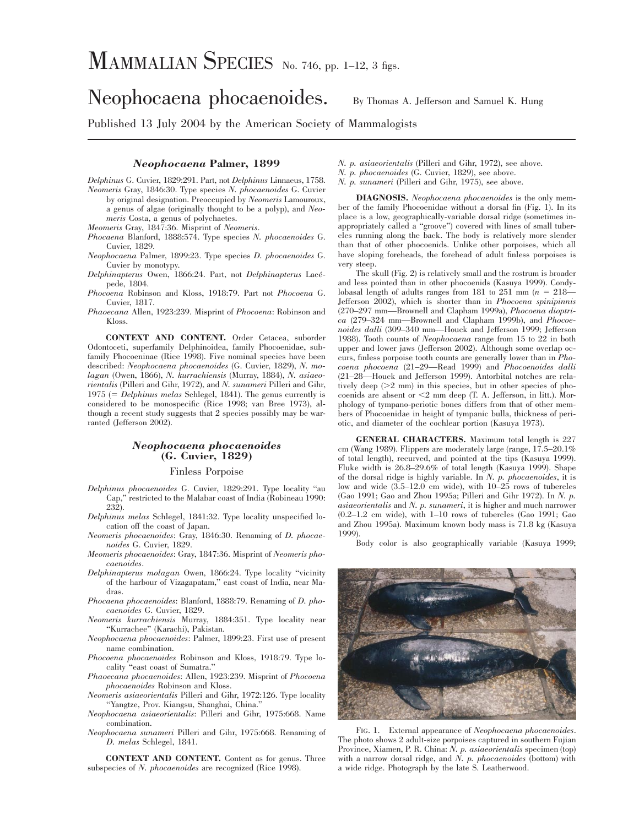# Neophocaena phocaenoides. By Thomas A. Jefferson and Samuel K. Hung

Published 13 July 2004 by the American Society of Mammalogists

## *Neophocaena* **Palmer, 1899**

*Delphinus* G. Cuvier, 1829:291. Part, not *Delphinus* Linnaeus, 1758. *Neomeris* Gray, 1846:30. Type species *N. phocaenoides* G. Cuvier by original designation. Preoccupied by *Neomeris* Lamouroux, a genus of algae (originally thought to be a polyp), and *Neomeris* Costa, a genus of polychaetes.

*Meomeris* Gray, 1847:36. Misprint of *Neomeris*.

- *Phocaena* Blanford, 1888:574. Type species *N. phocaenoides* G. Cuvier, 1829.
- *Neophocaena* Palmer, 1899:23. Type species *D. phocaenoides* G. Cuvier by monotypy.
- *Delphinapterus* Owen, 1866:24. Part, not *Delphinapterus* Lace´ pede, 1804.
- *Phocoena* Robinson and Kloss, 1918:79. Part not *Phocoena* G. Cuvier, 1817.
- *Phaoecana* Allen, 1923:239. Misprint of *Phocoena*: Robinson and Kloss.

**CONTEXT AND CONTENT.** Order Cetacea, suborder Odontoceti, superfamily Delphinoidea, family Phocoenidae, subfamily Phocoeninae (Rice 1998). Five nominal species have been described: *Neophocaena phocaenoides* (G. Cuvier, 1829), *N. molagan* (Owen, 1866), *N. kurrachiensis* (Murray, 1884), *N. asiaeorientalis* (Pilleri and Gihr, 1972), and *N. sunameri* Pilleri and Gihr, 1975 (5 *Delphinus melas* Schlegel, 1841). The genus currently is considered to be monospecific (Rice 1998; van Bree 1973), although a recent study suggests that 2 species possibly may be warranted (Jefferson 2002).

### *Neophocaena phocaenoides* **(G. Cuvier, 1829)**

#### Finless Porpoise

- *Delphinus phocaenoides* G. Cuvier, 1829:291. Type locality ''au Cap,'' restricted to the Malabar coast of India (Robineau 1990: 232).
- *Delphinus melas* Schlegel, 1841:32. Type locality unspecified location off the coast of Japan.
- *Neomeris phocaenoides*: Gray, 1846:30. Renaming of *D. phocaenoides* G. Cuvier, 1829.
- *Meomeris phocaenoides*: Gray, 1847:36. Misprint of *Neomeris phocaenoides*.
- *Delphinapterus molagan* Owen, 1866:24. Type locality ''vicinity of the harbour of Vizagapatam,'' east coast of India, near Madras.
- *Phocaena phocaenoides*: Blanford, 1888:79. Renaming of *D. phocaenoides* G. Cuvier, 1829.
- *Neomeris kurrachiensis* Murray, 1884:351. Type locality near ''Kurrachee'' (Karachi), Pakistan.
- *Neophocaena phocaenoides*: Palmer, 1899:23. First use of present name combination.
- *Phocoena phocaenoides* Robinson and Kloss, 1918:79. Type locality ''east coast of Sumatra.''
- *Phaoecana phocaenoides*: Allen, 1923:239. Misprint of *Phocoena phocaenoides* Robinson and Kloss.
- *Neomeris asiaeorientalis* Pilleri and Gihr, 1972:126. Type locality ''Yangtze, Prov. Kiangsu, Shanghai, China.''
- *Neophocaena asiaeorientalis*: Pilleri and Gihr, 1975:668. Name combination.
- *Neophocaena sunameri* Pilleri and Gihr, 1975:668. Renaming of *D. melas* Schlegel, 1841.
- **CONTEXT AND CONTENT.** Content as for genus. Three subspecies of *N. phocaenoides* are recognized (Rice 1998).
- *N. p. asiaeorientalis* (Pilleri and Gihr, 1972), see above.
- *N. p. phocaenoides* (G. Cuvier, 1829), see above.
- *N. p. sunameri* (Pilleri and Gihr, 1975), see above.

**DIAGNOSIS.** *Neophocaena phocaenoides* is the only member of the family Phocoenidae without a dorsal fin (Fig. 1). In its place is a low, geographically-variable dorsal ridge (sometimes inappropriately called a ''groove'') covered with lines of small tubercles running along the back. The body is relatively more slender than that of other phocoenids. Unlike other porpoises, which all have sloping foreheads, the forehead of adult finless porpoises is very steep.

The skull (Fig. 2) is relatively small and the rostrum is broader and less pointed than in other phocoenids (Kasuya 1999). Condylobasal length of adults ranges from 181 to 251 mm  $(n = 218-$ Jefferson 2002), which is shorter than in *Phocoena spinipinnis* (270–297 mm—Brownell and Clapham 1999a), *Phocoena dioptrica* (279–324 mm—Brownell and Clapham 1999b), and *Phocoenoides dalli* (309–340 mm—Houck and Jefferson 1999; Jefferson 1988). Tooth counts of *Neophocaena* range from 15 to 22 in both upper and lower jaws (Jefferson 2002). Although some overlap occurs, finless porpoise tooth counts are generally lower than in *Phocoena phocoena* (21–29—Read 1999) and *Phocoenoides dalli* (21–28—Houck and Jefferson 1999). Antorbital notches are relatively deep  $(>2$  mm) in this species, but in other species of phocoenids are absent or  $\leq$ 2 mm deep (T. A. Jefferson, in litt.). Morphology of tympano-periotic bones differs from that of other members of Phocoenidae in height of tympanic bulla, thickness of periotic, and diameter of the cochlear portion (Kasuya 1973).

**GENERAL CHARACTERS.** Maximum total length is 227 cm (Wang 1989). Flippers are moderately large (range, 17.5–20.1% of total length), recurved, and pointed at the tips (Kasuya 1999). Fluke width is 26.8–29.6% of total length (Kasuya 1999). Shape of the dorsal ridge is highly variable. In *N. p. phocaenoides*, it is low and wide (3.5–12.0 cm wide), with 10–25 rows of tubercles (Gao 1991; Gao and Zhou 1995a; Pilleri and Gihr 1972). In *N. p. asiaeorientalis* and *N. p. sunameri*, it is higher and much narrower (0.2–1.2 cm wide), with 1–10 rows of tubercles (Gao 1991; Gao and Zhou 1995a). Maximum known body mass is 71.8 kg (Kasuya 1999).

Body color is also geographically variable (Kasuya 1999;



FIG. 1. External appearance of *Neophocaena phocaenoides*. The photo shows 2 adult-size porpoises captured in southern Fujian Province, Xiamen, P. R. China: *N. p. asiaeorientalis* specimen (top) with a narrow dorsal ridge, and *N. p. phocaenoides* (bottom) with a wide ridge. Photograph by the late S. Leatherwood.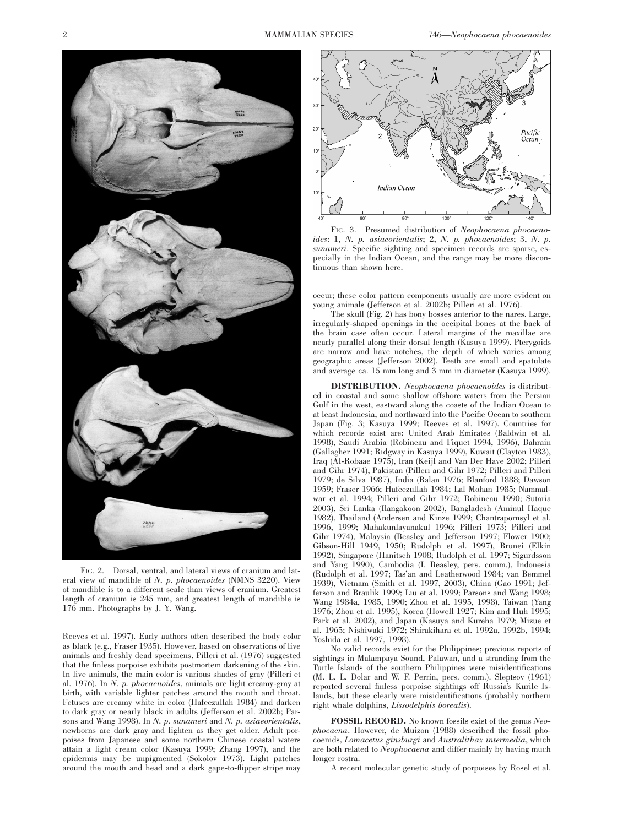

FIG. 2. Dorsal, ventral, and lateral views of cranium and lateral view of mandible of *N. p. phocaenoides* (NMNS 3220). View of mandible is to a different scale than views of cranium. Greatest length of cranium is 245 mm, and greatest length of mandible is 176 mm. Photographs by J. Y. Wang.

Reeves et al. 1997). Early authors often described the body color as black (e.g., Fraser 1935). However, based on observations of live animals and freshly dead specimens, Pilleri et al. (1976) suggested that the finless porpoise exhibits postmortem darkening of the skin. In live animals, the main color is various shades of gray (Pilleri et al. 1976). In *N. p. phocaenoides*, animals are light creamy-gray at birth, with variable lighter patches around the mouth and throat. Fetuses are creamy white in color (Hafeezullah 1984) and darken to dark gray or nearly black in adults (Jefferson et al. 2002b; Parsons and Wang 1998). In *N. p. sunameri* and *N. p. asiaeorientalis*, newborns are dark gray and lighten as they get older. Adult porpoises from Japanese and some northern Chinese coastal waters attain a light cream color (Kasuya 1999; Zhang 1997), and the epidermis may be unpigmented (Sokolov 1973). Light patches around the mouth and head and a dark gape-to-flipper stripe may



FIG. 3. Presumed distribution of *Neophocaena phocaenoides*: 1, *N. p. asiaeorientalis*; 2, *N. p. phocaenoides*; 3, *N. p. sunameri*. Specific sighting and specimen records are sparse, especially in the Indian Ocean, and the range may be more discontinuous than shown here.

occur; these color pattern components usually are more evident on young animals (Jefferson et al. 2002b; Pilleri et al. 1976).

The skull (Fig. 2) has bony bosses anterior to the nares. Large, irregularly-shaped openings in the occipital bones at the back of the brain case often occur. Lateral margins of the maxillae are nearly parallel along their dorsal length ( $\overline{K}$ asuya 1999). Pterygoids are narrow and have notches, the depth of which varies among geographic areas (Jefferson 2002). Teeth are small and spatulate and average ca. 15 mm long and 3 mm in diameter (Kasuya 1999).

**DISTRIBUTION.** *Neophocaena phocaenoides* is distributed in coastal and some shallow offshore waters from the Persian Gulf in the west, eastward along the coasts of the Indian Ocean to at least Indonesia, and northward into the Pacific Ocean to southern Japan (Fig. 3; Kasuya 1999; Reeves et al. 1997). Countries for which records exist are: United Arab Emirates (Baldwin et al. 1998), Saudi Arabia (Robineau and Fiquet 1994, 1996), Bahrain (Gallagher 1991; Ridgway in Kasuya 1999), Kuwait (Clayton 1983), Iraq (Al-Robaae 1975), Iran (Keijl and Van Der Have 2002; Pilleri and Gihr 1974), Pakistan (Pilleri and Gihr 1972; Pilleri and Pilleri 1979; de Silva 1987), India (Balan 1976; Blanford 1888; Dawson 1959; Fraser 1966; Hafeezullah 1984; Lal Mohan 1985; Nammalwar et al. 1994; Pilleri and Gihr 1972; Robineau 1990; Sutaria 2003), Sri Lanka (Ilangakoon 2002), Bangladesh (Aminul Haque 1982), Thailand (Andersen and Kinze 1999; Chantrapornsyl et al. 1996, 1999; Mahakunlayanakul 1996; Pilleri 1973; Pilleri and Gihr 1974), Malaysia (Beasley and Jefferson 1997; Flower 1900; Gibson-Hill 1949, 1950; Rudolph et al. 1997), Brunei (Elkin 1992), Singapore (Hanitsch 1908; Rudolph et al. 1997; Sigurdsson and Yang 1990), Cambodia (I. Beasley, pers. comm.), Indonesia (Rudolph et al. 1997; Tas'an and Leatherwood 1984; van Bemmel 1939), Vietnam (Smith et al. 1997, 2003), China (Gao 1991; Jefferson and Braulik 1999; Liu et al. 1999; Parsons and Wang 1998; Wang 1984a, 1985, 1990; Zhou et al. 1995, 1998), Taiwan (Yang 1976; Zhou et al. 1995), Korea (Howell 1927; Kim and Huh 1995; Park et al. 2002), and Japan (Kasuya and Kureha 1979; Mizue et al. 1965; Nishiwaki 1972; Shirakihara et al. 1992a, 1992b, 1994; Yoshida et al. 1997, 1998).

No valid records exist for the Philippines; previous reports of sightings in Malampaya Sound, Palawan, and a stranding from the Turtle Islands of the southern Philippines were misidentifications (M. L. L. Dolar and W. F. Perrin, pers. comm.). Sleptsov (1961) reported several finless porpoise sightings off Russia's Kurile Islands, but these clearly were misidentifications (probably northern right whale dolphins, *Lissodelphis borealis*).

**FOSSIL RECORD.** No known fossils exist of the genus *Neophocaena*. However, de Muizon (1988) described the fossil phocoenids, *Lomacetus ginsburgi* and *Australithax intermedia*, which are both related to *Neophocaena* and differ mainly by having much longer rostra.

A recent molecular genetic study of porpoises by Rosel et al.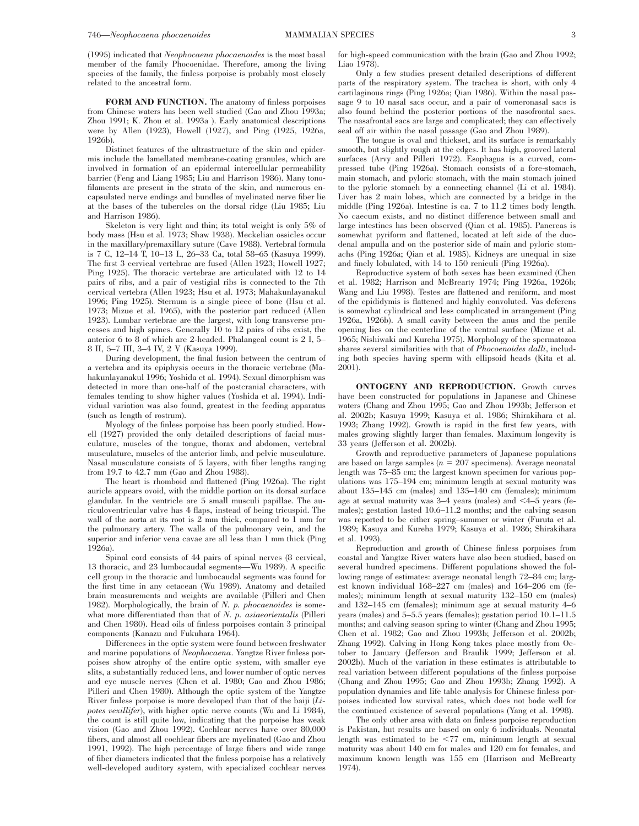(1995) indicated that *Neophocaena phocaenoides* is the most basal member of the family Phocoenidae. Therefore, among the living species of the family, the finless porpoise is probably most closely related to the ancestral form.

**FORM AND FUNCTION.** The anatomy of finless porpoises from Chinese waters has been well studied (Gao and Zhou 1993a; Zhou 1991; K. Zhou et al. 1993a ). Early anatomical descriptions were by Allen (1923), Howell (1927), and Ping (1925, 1926a, 1926b).

Distinct features of the ultrastructure of the skin and epidermis include the lamellated membrane-coating granules, which are involved in formation of an epidermal intercellular permeability barrier (Feng and Liang 1985; Liu and Harrison 1986). Many tonofilaments are present in the strata of the skin, and numerous encapsulated nerve endings and bundles of myelinated nerve fiber lie at the bases of the tubercles on the dorsal ridge (Liu 1985; Liu and Harrison 1986).

Skeleton is very light and thin; its total weight is only 5% of body mass (Hsu et al. 1973; Shaw 1938). Meckelian ossicles occur in the maxillary/premaxillary suture (Cave 1988). Vertebral formula is 7 C, 12–14 T, 10–13 L, 26–33 Ca, total 58–65 (Kasuya 1999). The first 3 cervical vertebrae are fused (Allen 1923; Howell 1927; Ping 1925). The thoracic vertebrae are articulated with 12 to 14 pairs of ribs, and a pair of vestigial ribs is connected to the 7th cervical vertebra (Allen 1923; Hsu et al. 1973; Mahakunlayanakul 1996; Ping 1925). Sternum is a single piece of bone (Hsu et al. 1973; Mizue et al. 1965), with the posterior part reduced (Allen 1923). Lumbar vertebrae are the largest, with long transverse processes and high spines. Generally 10 to 12 pairs of ribs exist, the anterior 6 to 8 of which are 2-headed. Phalangeal count is 2 I, 5– 8 II, 5–7 III, 3–4 IV, 2 V (Kasuya 1999).

During development, the final fusion between the centrum of a vertebra and its epiphysis occurs in the thoracic vertebrae (Mahakunlayanakul 1996; Yoshida et al. 1994). Sexual dimorphism was detected in more than one-half of the postcranial characters, with females tending to show higher values (Yoshida et al. 1994). Individual variation was also found, greatest in the feeding apparatus (such as length of rostrum).

Myology of the finless porpoise has been poorly studied. Howell (1927) provided the only detailed descriptions of facial musculature, muscles of the tongue, thorax and abdomen, vertebral musculature, muscles of the anterior limb, and pelvic musculature. Nasal musculature consists of 5 layers, with fiber lengths ranging from 19.7 to 42.7 mm (Gao and Zhou 1988).

The heart is rhomboid and flattened (Ping 1926a). The right auricle appears ovoid, with the middle portion on its dorsal surface glandular. In the ventricle are 5 small musculi papillae. The auriculoventricular valve has 4 flaps, instead of being tricuspid. The wall of the aorta at its root is 2 mm thick, compared to 1 mm for the pulmonary artery. The walls of the pulmonary vein, and the superior and inferior vena cavae are all less than 1 mm thick (Ping 1926a).

Spinal cord consists of 44 pairs of spinal nerves (8 cervical, 13 thoracic, and 23 lumbocaudal segments—Wu 1989). A specific cell group in the thoracic and lumbocaudal segments was found for the first time in any cetacean (Wu 1989). Anatomy and detailed brain measurements and weights are available (Pilleri and Chen 1982). Morphologically, the brain of *N. p. phocaenoides* is somewhat more differentiated than that of *N. p. asiaeorientalis* (Pilleri and Chen 1980). Head oils of finless porpoises contain 3 principal components (Kanazu and Fukuhara 1964).

Differences in the optic system were found between freshwater and marine populations of *Neophocaena*. Yangtze River finless porpoises show atrophy of the entire optic system, with smaller eye slits, a substantially reduced lens, and lower number of optic nerves and eye muscle nerves (Chen et al. 1980; Gao and Zhou 1986; Pilleri and Chen 1980). Although the optic system of the Yangtze River finless porpoise is more developed than that of the baiji (*Lipotes vexillifer*), with higher optic nerve counts (Wu and Li 1984), the count is still quite low, indicating that the porpoise has weak vision (Gao and Zhou 1992). Cochlear nerves have over 80,000 fibers, and almost all cochlear fibers are myelinated (Gao and Zhou 1991, 1992). The high percentage of large fibers and wide range of fiber diameters indicated that the finless porpoise has a relatively well-developed auditory system, with specialized cochlear nerves for high-speed communication with the brain (Gao and Zhou 1992; Liao 1978).

Only a few studies present detailed descriptions of different parts of the respiratory system. The trachea is short, with only 4 cartilaginous rings (Ping 1926a; Qian 1986). Within the nasal passage 9 to 10 nasal sacs occur, and a pair of vomeronasal sacs is also found behind the posterior portions of the nasofrontal sacs. The nasafrontal sacs are large and complicated; they can effectively seal off air within the nasal passage (Gao and Zhou 1989).

The tongue is oval and thickset, and its surface is remarkably smooth, but slightly rough at the edges. It has high, grooved lateral surfaces (Arvy and Pilleri 1972). Esophagus is a curved, compressed tube (Ping 1926a). Stomach consists of a fore-stomach, main stomach, and pyloric stomach, with the main stomach joined to the pyloric stomach by a connecting channel (Li et al. 1984). Liver has 2 main lobes, which are connected by a bridge in the middle (Ping 1926a). Intestine is ca. 7 to 11.2 times body length. No caecum exists, and no distinct difference between small and large intestines has been observed (Qian et al. 1985). Pancreas is somewhat pyriform and flattened, located at left side of the duodenal ampulla and on the posterior side of main and pyloric stomachs (Ping 1926a; Qian et al. 1985). Kidneys are unequal in size and finely lobulated, with 14 to 150 reniculi (Ping 1926a).

Reproductive system of both sexes has been examined (Chen et al. 1982; Harrison and McBrearty 1974; Ping 1926a, 1926b; Wang and Liu 1998). Testes are flattened and reniform, and most of the epididymis is flattened and highly convoluted. Vas deferens is somewhat cylindrical and less complicated in arrangement (Ping 1926a, 1926b). A small cavity between the anus and the penile opening lies on the centerline of the ventral surface (Mizue et al. 1965; Nishiwaki and Kureha 1975). Morphology of the spermatozoa shares several similarities with that of *Phocoenoides dalli*, including both species having sperm with ellipsoid heads (Kita et al. 2001).

**ONTOGENY AND REPRODUCTION.** Growth curves have been constructed for populations in Japanese and Chinese waters (Chang and Zhou 1995; Gao and Zhou 1993b; Jefferson et al. 2002b; Kasuya 1999; Kasuya et al. 1986; Shirakihara et al. 1993; Zhang 1992). Growth is rapid in the first few years, with males growing slightly larger than females. Maximum longevity is 33 years (Jefferson et al. 2002b).

Growth and reproductive parameters of Japanese populations are based on large samples  $(n = 207$  specimens). Average neonatal length was 75–85 cm; the largest known specimen for various populations was 175–194 cm; minimum length at sexual maturity was about 135–145 cm (males) and 135–140 cm (females); minimum age at sexual maturity was  $3-4$  years (males) and  $\leq 4-5$  years (females); gestation lasted 10.6–11.2 months; and the calving season was reported to be either spring–summer or winter (Furuta et al. 1989; Kasuya and Kureha 1979; Kasuya et al. 1986; Shirakihara et al. 1993).

Reproduction and growth of Chinese finless porpoises from coastal and Yangtze River waters have also been studied, based on several hundred specimens. Different populations showed the following range of estimates: average neonatal length 72–84 cm; largest known individual 168–227 cm (males) and 164–206 cm (females); minimum length at sexual maturity 132–150 cm (males) and 132–145 cm (females); minimum age at sexual maturity 4–6 years (males) and 5–5.5 years (females); gestation period 10.1–11.5 months; and calving season spring to winter (Chang and Zhou 1995; Chen et al. 1982; Gao and Zhou 1993b; Jefferson et al. 2002b; Zhang 1992). Calving in Hong Kong takes place mostly from October to January (Jefferson and Braulik 1999; Jefferson et al. 2002b). Much of the variation in these estimates is attributable to real variation between different populations of the finless porpoise (Chang and Zhou 1995; Gao and Zhou 1993b; Zhang 1992). A population dynamics and life table analysis for Chinese finless porpoises indicated low survival rates, which does not bode well for the continued existence of several populations (Yang et al. 1998).

The only other area with data on finless porpoise reproduction is Pakistan, but results are based on only 6 individuals. Neonatal length was estimated to be  $<77$  cm, minimum length at sexual maturity was about 140 cm for males and 120 cm for females, and maximum known length was 155 cm (Harrison and McBrearty 1974).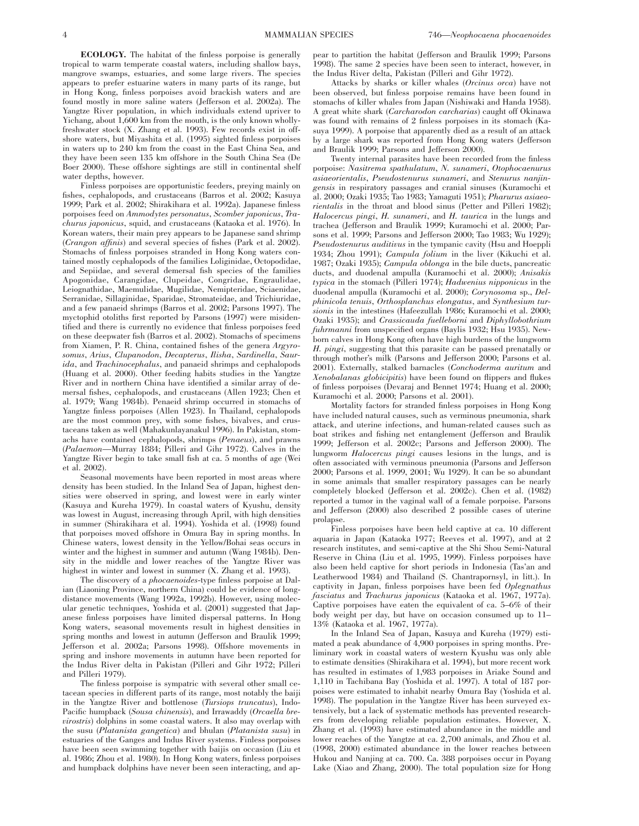4 MAMMALIAN SPECIES 746—*Neophocaena phocaenoides*

**ECOLOGY.** The habitat of the finless porpoise is generally tropical to warm temperate coastal waters, including shallow bays, mangrove swamps, estuaries, and some large rivers. The species appears to prefer estuarine waters in many parts of its range, but in Hong Kong, finless porpoises avoid brackish waters and are found mostly in more saline waters (Jefferson et al. 2002a). The Yangtze River population, in which individuals extend upriver to Yichang, about 1,600 km from the mouth, is the only known whollyfreshwater stock (X. Zhang et al. 1993). Few records exist in offshore waters, but Miyashita et al. (1995) sighted finless porpoises in waters up to 240 km from the coast in the East China Sea, and they have been seen 135 km offshore in the South China Sea (De Boer 2000). These offshore sightings are still in continental shelf water depths, however.

Finless porpoises are opportunistic feeders, preying mainly on fishes, cephalopods, and crustaceans (Barros et al. 2002; Kasuya 1999; Park et al. 2002; Shirakihara et al. 1992a). Japanese finless porpoises feed on *Ammodytes personatus*, *Scomber japonicus*, *Trachurus japonicus*, squid, and crustaceans (Kataoka et al. 1976). In Korean waters, their main prey appears to be Japanese sand shrimp (*Crangon affinis*) and several species of fishes (Park et al. 2002). Stomachs of finless porpoises stranded in Hong Kong waters contained mostly cephalopods of the families Loliginidae, Octopodidae, and Sepiidae, and several demersal fish species of the families Apogonidae, Carangidae, Clupeidae, Congridae, Engraulidae, Leiognathidae, Maemulidae, Mugilidae, Nemipteridae, Sciaenidae, Serranidae, Sillaginidae, Sparidae, Stromateidae, and Trichiuridae, and a few panaeid shrimps (Barros et al. 2002; Parsons 1997). The myctophid otoliths first reported by Parsons (1997) were misidentified and there is currently no evidence that finless porpoises feed on these deepwater fish (Barros et al. 2002). Stomachs of specimens from Xiamen, P. R. China, contained fishes of the genera *Argyrosomus*, *Arius*, *Clupanodon*, *Decapterus*, *Ilisha*, *Sardinella*, *Saurida*, and *Trachinocephalus*, and panaeid shrimps and cephalopods (Huang et al. 2000). Other feeding habits studies in the Yangtze River and in northern China have identified a similar array of demersal fishes, cephalopods, and crustaceans (Allen 1923; Chen et al. 1979; Wang 1984b). Penaeid shrimp occurred in stomachs of Yangtze finless porpoises (Allen 1923). In Thailand, cephalopods are the most common prey, with some fishes, bivalves, and crustaceans taken as well (Mahakunlayanakul 1996). In Pakistan, stomachs have contained cephalopods, shrimps (*Penaeus*), and prawns (*Palaemon*—Murray 1884; Pilleri and Gihr 1972). Calves in the Yangtze River begin to take small fish at ca. 5 months of age (Wei et al. 2002).

Seasonal movements have been reported in most areas where density has been studied. In the Inland Sea of Japan, highest densities were observed in spring, and lowest were in early winter (Kasuya and Kureha 1979). In coastal waters of Kyushu, density was lowest in August, increasing through April, with high densities in summer (Shirakihara et al. 1994). Yoshida et al. (1998) found that porpoises moved offshore in Omura Bay in spring months. In Chinese waters, lowest density in the Yellow/Bohai seas occurs in winter and the highest in summer and autumn (Wang 1984b). Density in the middle and lower reaches of the Yangtze River was highest in winter and lowest in summer (X. Zhang et al. 1993).

The discovery of a *phocaenoides*-type finless porpoise at Dalian (Liaoning Province, northern China) could be evidence of longdistance movements (Wang 1992a, 1992b). However, using molecular genetic techniques, Yoshida et al. (2001) suggested that Japanese finless porpoises have limited dispersal patterns. In Hong Kong waters, seasonal movements result in highest densities in spring months and lowest in autumn (Jefferson and Braulik 1999; Jefferson et al. 2002a; Parsons 1998). Offshore movements in spring and inshore movements in autumn have been reported for the Indus River delta in Pakistan (Pilleri and Gihr 1972; Pilleri and Pilleri 1979).

The finless porpoise is sympatric with several other small cetacean species in different parts of its range, most notably the baiji in the Yangtze River and bottlenose (*Tursiops truncatus*), Indo-Pacific humpback (*Sousa chinensis*), and Irrawaddy (*Orcaella brevirostris*) dolphins in some coastal waters. It also may overlap with the susu (*Platanista gangetica*) and bhulan (*Platanista susu*) in estuaries of the Ganges and Indus River systems. Finless porpoises have been seen swimming together with baijis on occasion (Liu et al. 1986; Zhou et al. 1980). In Hong Kong waters, finless porpoises and humpback dolphins have never been seen interacting, and appear to partition the habitat (Jefferson and Braulik 1999; Parsons 1998). The same 2 species have been seen to interact, however, in the Indus River delta, Pakistan (Pilleri and Gihr 1972).

Attacks by sharks or killer whales (*Orcinus orca*) have not been observed, but finless porpoise remains have been found in stomachs of killer whales from Japan (Nishiwaki and Handa 1958). A great white shark (*Carcharodon carcharias*) caught off Okinawa was found with remains of 2 finless porpoises in its stomach (Kasuya 1999). A porpoise that apparently died as a result of an attack by a large shark was reported from Hong Kong waters (Jefferson and Braulik 1999; Parsons and Jefferson 2000).

Twenty internal parasites have been recorded from the finless porpoise: *Nasitrema spathulatum*, *N. sunameri*, *Otophocaenurus asiaeorientalis*, *Pseudostenurus sunameri*, and *Stenurus nanjingensis* in respiratory passages and cranial sinuses (Kuramochi et al. 2000; Ozaki 1935; Tao 1983; Yamaguti 1951); *Pharurus asiaeorientalis* in the throat and blood sinus (Petter and Pilleri 1982); *Halocercus pingi*, *H. sunameri*, and *H. taurica* in the lungs and trachea (Jefferson and Braulik 1999; Kuramochi et al. 2000; Parsons et al. 1999; Parsons and Jefferson 2000; Tao 1983; Wu 1929); *Pseudostenurus auditivus* in the tympanic cavity (Hsu and Hoeppli 1934; Zhou 1991); *Campula folium* in the liver (Kikuchi et al. 1987; Ozaki 1935); *Campula oblonga* in the bile ducts, pancreatic ducts, and duodenal ampulla (Kuramochi et al. 2000); *Anisakis typica* in the stomach (Pilleri 1974); *Hadwenius nipponicus* in the duodenal ampulla (Kuramochi et al. 2000); *Corynosoma* sp., *Delphinicola tenuis*, *Orthosplanchus elongatus*, and *Synthesium tursionis* in the intestines (Hafeezullah 1986; Kuramochi et al. 2000; Ozaki 1935); and *Crassicauda fuelleborni* and *Diphyllobothrium fuhrmanni* from unspecified organs (Baylis 1932; Hsu 1935). Newborn calves in Hong Kong often have high burdens of the lungworm *H. pingi*, suggesting that this parasite can be passed prenatally or through mother's milk (Parsons and Jefferson 2000; Parsons et al. 2001). Externally, stalked barnacles (*Conchoderma auritum* and *Xenobalanas globicipitis*) have been found on flippers and flukes of finless porpoises (Devaraj and Bennet 1974; Huang et al. 2000; Kuramochi et al. 2000; Parsons et al. 2001).

Mortality factors for stranded finless porpoises in Hong Kong have included natural causes, such as verminous pneumonia, shark attack, and uterine infections, and human-related causes such as boat strikes and fishing net entanglement (Jefferson and Braulik 1999; Jefferson et al. 2002c; Parsons and Jefferson 2000). The lungworm *Halocercus pingi* causes lesions in the lungs, and is often associated with verminous pneumonia (Parsons and Jefferson 2000; Parsons et al. 1999, 2001; Wu 1929). It can be so abundant in some animals that smaller respiratory passages can be nearly completely blocked (Jefferson et al. 2002c). Chen et al. (1982) reported a tumor in the vaginal wall of a female porpoise. Parsons and Jefferson (2000) also described 2 possible cases of uterine prolapse.

Finless porpoises have been held captive at ca. 10 different aquaria in Japan (Kataoka 1977; Reeves et al. 1997), and at 2 research institutes, and semi-captive at the Shi Shou Semi-Natural Reserve in China (Liu et al. 1995, 1999). Finless porpoises have also been held captive for short periods in Indonesia (Tas'an and Leatherwood 1984) and Thailand (S. Chantrapornsyl, in litt.). In captivity in Japan, finless porpoises have been fed *Oplegnathus fasciatus* and *Trachurus japonicus* (Kataoka et al. 1967, 1977a). Captive porpoises have eaten the equivalent of ca. 5–6% of their body weight per day, but have on occasion consumed up to 11– 13% (Kataoka et al. 1967, 1977a).

In the Inland Sea of Japan, Kasuya and Kureha (1979) estimated a peak abundance of 4,900 porpoises in spring months. Preliminary work in coastal waters of western Kyushu was only able to estimate densities (Shirakihara et al. 1994), but more recent work has resulted in estimates of 1,983 porpoises in Ariake Sound and 1,110 in Tachibana Bay (Yoshida et al. 1997). A total of 187 porpoises were estimated to inhabit nearby Omura Bay (Yoshida et al. 1998). The population in the Yangtze River has been surveyed extensively, but a lack of systematic methods has prevented researchers from developing reliable population estimates. However, X. Zhang et al. (1993) have estimated abundance in the middle and lower reaches of the Yangtze at ca. 2,700 animals, and Zhou et al. (1998, 2000) estimated abundance in the lower reaches between Hukou and Nanjing at ca. 700. Ca. 388 porpoises occur in Poyang Lake (Xiao and Zhang, 2000). The total population size for Hong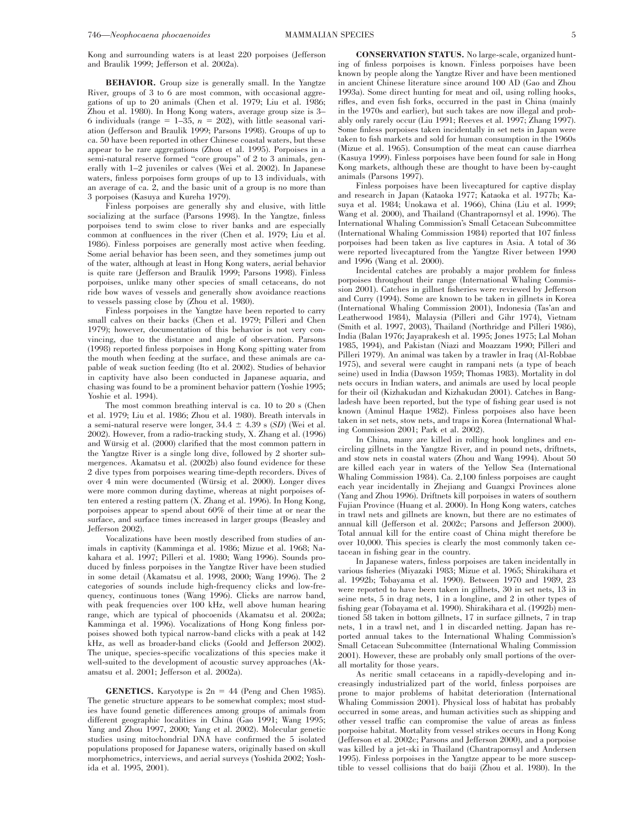Kong and surrounding waters is at least 220 porpoises (Jefferson and Braulik 1999; Jefferson et al. 2002a).

**BEHAVIOR.** Group size is generally small. In the Yangtze River, groups of 3 to 6 are most common, with occasional aggregations of up to 20 animals (Chen et al. 1979; Liu et al. 1986; Zhou et al. 1980). In Hong Kong waters, average group size is 3– 6 individuals (range  $= 1-35$ ,  $n = 202$ ), with little seasonal variation (Jefferson and Braulik 1999; Parsons 1998). Groups of up to ca. 50 have been reported in other Chinese coastal waters, but these appear to be rare aggregations (Zhou et al. 1995). Porpoises in a semi-natural reserve formed "core groups" of 2 to 3 animals, generally with 1–2 juveniles or calves (Wei et al. 2002). In Japanese waters, finless porpoises form groups of up to 13 individuals, with an average of ca. 2, and the basic unit of a group is no more than 3 porpoises (Kasuya and Kureha 1979).

Finless porpoises are generally shy and elusive, with little socializing at the surface (Parsons 1998). In the Yangtze, finless porpoises tend to swim close to river banks and are especially common at confluences in the river (Chen et al. 1979; Liu et al. 1986). Finless porpoises are generally most active when feeding. Some aerial behavior has been seen, and they sometimes jump out of the water, although at least in Hong Kong waters, aerial behavior is quite rare (Jefferson and Braulik 1999; Parsons 1998). Finless porpoises, unlike many other species of small cetaceans, do not ride bow waves of vessels and generally show avoidance reactions to vessels passing close by (Zhou et al. 1980).

Finless porpoises in the Yangtze have been reported to carry small calves on their backs (Chen et al. 1979; Pilleri and Chen 1979); however, documentation of this behavior is not very convincing, due to the distance and angle of observation. Parsons (1998) reported finless porpoises in Hong Kong spitting water from the mouth when feeding at the surface, and these animals are capable of weak suction feeding (Ito et al. 2002). Studies of behavior in captivity have also been conducted in Japanese aquaria, and chasing was found to be a prominent behavior pattern (Yoshie 1995; Yoshie et al. 1994).

The most common breathing interval is ca. 10 to 20 s (Chen et al. 1979; Liu et al. 1986; Zhou et al. 1980). Breath intervals in a semi-natural reserve were longer,  $34.4 \pm 4.39$  s (*SD*) (Wei et al. 2002). However, from a radio-tracking study, X. Zhang et al. (1996) and Würsig et al. (2000) clarified that the most common pattern in the Yangtze River is a single long dive, followed by 2 shorter submergences. Akamatsu et al. (2002b) also found evidence for these 2 dive types from porpoises wearing time-depth recorders. Dives of over 4 min were documented (Würsig et al. 2000). Longer dives were more common during daytime, whereas at night porpoises often entered a resting pattern (X. Zhang et al. 1996). In Hong Kong, porpoises appear to spend about 60% of their time at or near the surface, and surface times increased in larger groups (Beasley and Jefferson 2002).

Vocalizations have been mostly described from studies of animals in captivity (Kamminga et al. 1986; Mizue et al. 1968; Nakahara et al. 1997; Pilleri et al. 1980; Wang 1996). Sounds produced by finless porpoises in the Yangtze River have been studied in some detail (Akamatsu et al. 1998, 2000; Wang 1996). The 2 categories of sounds include high-frequency clicks and low-frequency, continuous tones (Wang 1996). Clicks are narrow band, with peak frequencies over 100 kHz, well above human hearing range, which are typical of phocoenids (Akamatsu et al. 2002a; Kamminga et al. 1996). Vocalizations of Hong Kong finless porpoises showed both typical narrow-band clicks with a peak at 142 kHz, as well as broader-band clicks (Goold and Jefferson 2002). The unique, species-specific vocalizations of this species make it well-suited to the development of acoustic survey approaches (Akamatsu et al. 2001; Jefferson et al. 2002a).

**GENETICS.** Karyotype is  $2n = 44$  (Peng and Chen 1985). The genetic structure appears to be somewhat complex; most studies have found genetic differences among groups of animals from different geographic localities in China (Gao 1991; Wang 1995; Yang and Zhou 1997, 2000; Yang et al. 2002). Molecular genetic studies using mitochondrial DNA have confirmed the 5 isolated populations proposed for Japanese waters, originally based on skull morphometrics, interviews, and aerial surveys (Yoshida 2002; Yoshida et al. 1995, 2001).

**CONSERVATION STATUS.** No large-scale, organized hunting of finless porpoises is known. Finless porpoises have been known by people along the Yangtze River and have been mentioned in ancient Chinese literature since around 100 AD (Gao and Zhou 1993a). Some direct hunting for meat and oil, using rolling hooks, rifles, and even fish forks, occurred in the past in China (mainly in the 1970s and earlier), but such takes are now illegal and probably only rarely occur (Liu 1991; Reeves et al. 1997; Zhang 1997). Some finless porpoises taken incidentally in set nets in Japan were taken to fish markets and sold for human consumption in the 1960s (Mizue et al. 1965). Consumption of the meat can cause diarrhea (Kasuya 1999). Finless porpoises have been found for sale in Hong Kong markets, although these are thought to have been by-caught animals (Parsons 1997).

Finless porpoises have been livecaptured for captive display and research in Japan (Kataoka 1977; Kataoka et al. 1977b; Kasuya et al. 1984; Unokawa et al. 1966), China (Liu et al. 1999; Wang et al. 2000), and Thailand (Chantrapornsyl et al. 1996). The International Whaling Commission's Small Cetacean Subcommittee (International Whaling Commission 1984) reported that 107 finless porpoises had been taken as live captures in Asia. A total of 36 were reported livecaptured from the Yangtze River between 1990 and 1996 (Wang et al. 2000).

Incidental catches are probably a major problem for finless porpoises throughout their range (International Whaling Commission 2001). Catches in gillnet fisheries were reviewed by Jefferson and Curry (1994). Some are known to be taken in gillnets in Korea (International Whaling Commission 2001), Indonesia (Tas'an and Leatherwood 1984), Malaysia (Pilleri and Gihr 1974), Vietnam (Smith et al. 1997, 2003), Thailand (Northridge and Pilleri 1986), India (Balan 1976; Jayaprakesh et al. 1995; Jones 1975; Lal Mohan 1985, 1994), and Pakistan (Niazi and Moazzam 1990; Pilleri and Pilleri 1979). An animal was taken by a trawler in Iraq (Al-Robbae 1975), and several were caught in rampani nets (a type of beach seine) used in India (Dawson 1959; Thomas 1983). Mortality in dol nets occurs in Indian waters, and animals are used by local people for their oil (Kizhakudan and Kizhakudan 2001). Catches in Bangladesh have been reported, but the type of fishing gear used is not known (Aminul Haque 1982). Finless porpoises also have been taken in set nets, stow nets, and traps in Korea (International Whaling Commission 2001; Park et al. 2002).

In China, many are killed in rolling hook longlines and encircling gillnets in the Yangtze River, and in pound nets, driftnets, and stow nets in coastal waters (Zhou and Wang 1994). About 50 are killed each year in waters of the Yellow Sea (International Whaling Commission 1984). Ca. 2,100 finless porpoises are caught each year incidentally in Zhejiang and Guangxi Provinces alone (Yang and Zhou 1996). Driftnets kill porpoises in waters of southern Fujian Province (Huang et al. 2000). In Hong Kong waters, catches in trawl nets and gillnets are known, but there are no estimates of annual kill (Jefferson et al. 2002c; Parsons and Jefferson 2000). Total annual kill for the entire coast of China might therefore be over 10,000. This species is clearly the most commonly taken cetacean in fishing gear in the country.

In Japanese waters, finless porpoises are taken incidentally in various fisheries (Miyazaki 1983; Mizue et al. 1965; Shirakihara et al. 1992b; Tobayama et al. 1990). Between 1970 and 1989, 23 were reported to have been taken in gillnets, 30 in set nets, 13 in seine nets, 5 in drag nets, 1 in a longline, and 2 in other types of fishing gear (Tobayama et al. 1990). Shirakihara et al. (1992b) mentioned 58 taken in bottom gillnets, 17 in surface gillnets, 7 in trap nets, 1 in a trawl net, and 1 in discarded netting. Japan has reported annual takes to the International Whaling Commission's Small Cetacean Subcommittee (International Whaling Commission 2001). However, these are probably only small portions of the overall mortality for those years.

As neritic small cetaceans in a rapidly-developing and increasingly industrialized part of the world, finless porpoises are prone to major problems of habitat deterioration (International Whaling Commission 2001). Physical loss of habitat has probably occurred in some areas, and human activities such as shipping and other vessel traffic can compromise the value of areas as finless porpoise habitat. Mortality from vessel strikes occurs in Hong Kong (Jefferson et al. 2002c; Parsons and Jefferson 2000), and a porpoise was killed by a jet-ski in Thailand (Chantrapornsyl and Andersen 1995). Finless porpoises in the Yangtze appear to be more susceptible to vessel collisions that do baiji (Zhou et al. 1980). In the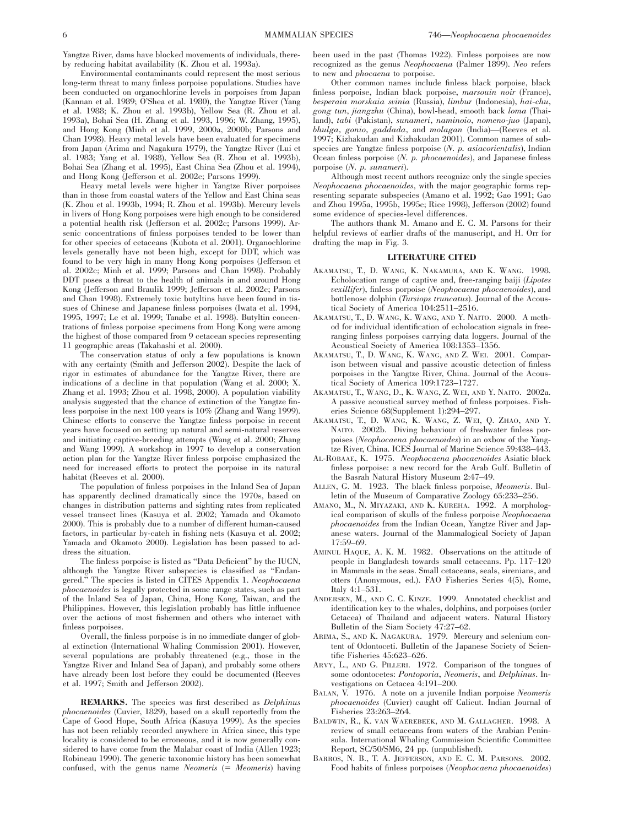Yangtze River, dams have blocked movements of individuals, thereby reducing habitat availability (K. Zhou et al. 1993a).

Environmental contaminants could represent the most serious long-term threat to many finless porpoise populations. Studies have been conducted on organochlorine levels in porpoises from Japan (Kannan et al. 1989; O'Shea et al. 1980), the Yangtze River (Yang et al. 1988; K. Zhou et al. 1993b), Yellow Sea (R. Zhou et al. 1993a), Bohai Sea (H. Zhang et al. 1993, 1996; W. Zhang, 1995), and Hong Kong (Minh et al. 1999, 2000a, 2000b; Parsons and Chan 1998). Heavy metal levels have been evaluated for specimens from Japan (Arima and Nagakura 1979), the Yangtze River (Lui et al. 1983; Yang et al. 1988), Yellow Sea (R. Zhou et al. 1993b), Bohai Sea (Zhang et al. 1995), East China Sea (Zhou et al. 1994), and Hong Kong (Jefferson et al. 2002c; Parsons 1999).

Heavy metal levels were higher in Yangtze River porpoises than in those from coastal waters of the Yellow and East China seas (K. Zhou et al. 1993b, 1994; R. Zhou et al. 1993b). Mercury levels in livers of Hong Kong porpoises were high enough to be considered a potential health risk (Jefferson et al. 2002c; Parsons 1999). Arsenic concentrations of finless porpoises tended to be lower than for other species of cetaceans (Kubota et al. 2001). Organochlorine levels generally have not been high, except for DDT, which was found to be very high in many Hong Kong porpoises (Jefferson et al. 2002c; Minh et al. 1999; Parsons and Chan 1998). Probably DDT poses a threat to the health of animals in and around Hong Kong (Jefferson and Braulik 1999; Jefferson et al. 2002c; Parsons and Chan 1998). Extremely toxic butyltins have been found in tissues of Chinese and Japanese finless porpoises (Iwata et al. 1994, 1995, 1997; Le et al. 1999; Tanabe et al. 1998). Butyltin concentrations of finless porpoise specimens from Hong Kong were among the highest of those compared from 9 cetacean species representing 11 geographic areas (Takahashi et al. 2000).

The conservation status of only a few populations is known with any certainty (Smith and Jefferson 2002). Despite the lack of rigor in estimates of abundance for the Yangtze River, there are indications of a decline in that population (Wang et al. 2000; X. Zhang et al. 1993; Zhou et al. 1998, 2000). A population viability analysis suggested that the chance of extinction of the Yangtze finless porpoise in the next 100 years is 10% (Zhang and Wang 1999). Chinese efforts to conserve the Yangtze finless porpoise in recent years have focused on setting up natural and semi-natural reserves and initiating captive-breeding attempts (Wang et al. 2000; Zhang and Wang 1999). A workshop in 1997 to develop a conservation action plan for the Yangtze River finless porpoise emphasized the need for increased efforts to protect the porpoise in its natural habitat (Reeves et al. 2000).

The population of finless porpoises in the Inland Sea of Japan has apparently declined dramatically since the 1970s, based on changes in distribution patterns and sighting rates from replicated vessel transect lines (Kasuya et al. 2002; Yamada and Okamoto 2000). This is probably due to a number of different human-caused factors, in particular by-catch in fishing nets (Kasuya et al. 2002; Yamada and Okamoto 2000). Legislation has been passed to address the situation.

The finless porpoise is listed as ''Data Deficient'' by the IUCN, although the Yangtze River subspecies is classified as ''Endangered.'' The species is listed in CITES Appendix 1. *Neophocaena phocaenoides* is legally protected in some range states, such as part of the Inland Sea of Japan, China, Hong Kong, Taiwan, and the Philippines. However, this legislation probably has little influence over the actions of most fishermen and others who interact with finless porpoises.

Overall, the finless porpoise is in no immediate danger of global extinction (International Whaling Commission 2001). However, several populations are probably threatened (e.g., those in the Yangtze River and Inland Sea of Japan), and probably some others have already been lost before they could be documented (Reeves et al. 1997; Smith and Jefferson 2002).

**REMARKS.** The species was first described as *Delphinus phocaenoides* (Cuvier, 1829), based on a skull reportedly from the Cape of Good Hope, South Africa (Kasuya 1999). As the species has not been reliably recorded anywhere in Africa since, this type locality is considered to be erroneous, and it is now generally considered to have come from the Malabar coast of India (Allen 1923; Robineau 1990). The generic taxonomic history has been somewhat confused, with the genus name *Neomeris* (= *Meomeris*) having been used in the past (Thomas 1922). Finless porpoises are now recognized as the genus *Neophocaena* (Palmer 1899). *Neo* refers to new and *phocaena* to porpoise.

Other common names include finless black porpoise, black finless porpoise, Indian black porpoise, *marsouin noir* (France), *besperaia morskaia svinia* (Russia), *limbur* (Indonesia), *hai-chu*, *gong tun*, *jiangzhu* (China), bowl-head, smooth back *loma* (Thailand), *tabi* (Pakistan), *sunameri*, *naminoio*, *nomeno-juo* (Japan), *bhulga*, *gonio*, *gaddada*, and *molagan* (India)—(Reeves et al. 1997; Kizhakudan and Kizhakudan 2001). Common names of subspecies are Yangtze finless porpoise (*N. p. asiacorientalis*), Indian Ocean finless porpoise (*N. p. phocaenoides*), and Japanese finless porpoise (*N. p. sunameri*).

Although most recent authors recognize only the single species *Neophocaena phocaenoides*, with the major geographic forms representing separate subspecies (Amano et al. 1992; Gao 1991; Gao and Zhou 1995a, 1995b, 1995c; Rice 1998), Jefferson (2002) found some evidence of species-level differences.

The authors thank M. Amano and E. C. M. Parsons for their helpful reviews of earlier drafts of the manuscript, and H. Orr for drafting the map in Fig. 3.

#### **LITERATURE CITED**

- AKAMATSU, T., D. WANG, K. NAKAMURA, AND K. WANG. 1998. Echolocation range of captive and, free-ranging baiji (*Lipotes vexillifer*), finless porpoise (*Neophocaena phocaenoides*), and bottlenose dolphin (*Tursiops truncatus*). Journal of the Acoustical Society of America 104:2511–2516.
- AKAMATSU, T., D. WANG, K. WANG, AND Y. NAITO. 2000. A method for individual identification of echolocation signals in freeranging finless porpoises carrying data loggers. Journal of the Acoustical Society of America 108:1353–1356.
- AKAMATSU, T., D. WANG, K. WANG, AND Z. WEI. 2001. Comparison between visual and passive acoustic detection of finless porpoises in the Yangtze River, China. Journal of the Acoustical Society of America 109:1723–1727.
- AKAMATSU, T., WANG, D., K. WANG, Z. WEI, AND Y. NAITO. 2002a. A passive acoustical survey method of finless porpoises. Fisheries Science 68(Supplement 1):294–297.
- AKAMATSU, T., D. WANG, K. WANG, Z. WEI, Q. ZHAO, AND Y. NAITO. 2002b. Diving behaviour of freshwater finless porpoises (*Neophocaena phocaenoides*) in an oxbow of the Yangtze River, China. ICES Journal of Marine Science 59:438–443.
- AL-ROBAAE, K. 1975. *Neophocaena phocaenoides* Asiatic black finless porpoise: a new record for the Arab Gulf. Bulletin of the Basrah Natural History Museum 2:47–49.
- ALLEN, G. M. 1923. The black finless porpoise, *Meomeris*. Bulletin of the Museum of Comparative Zoology 65:233–256.
- AMANO, M., N. MIYAZAKI, AND K. KUREHA. 1992. A morphological comparison of skulls of the finless porpoise *Neophocaena phocaenoides* from the Indian Ocean, Yangtze River and Japanese waters. Journal of the Mammalogical Society of Japan 17:59–69.
- AMINUL HAQUE, A. K. M. 1982. Observations on the attitude of people in Bangladesh towards small cetaceans. Pp. 117–120 in Mammals in the seas. Small cetaceans, seals, sirenians, and otters (Anonymous, ed.). FAO Fisheries Series 4(5), Rome, Italy 4:1–531.
- ANDERSEN, M., AND C. C. KINZE. 1999. Annotated checklist and identification key to the whales, dolphins, and porpoises (order Cetacea) of Thailand and adjacent waters. Natural History Bulletin of the Siam Society 47:27–62.
- ARIMA, S., AND K. NAGAKURA. 1979. Mercury and selenium content of Odontoceti. Bulletin of the Japanese Society of Scientific Fisheries 45:623–626.
- ARVY, L., AND G. PILLERI. 1972. Comparison of the tongues of some odontocetes: *Pontoporia*, *Neomeris*, and *Delphinus*. Investigations on Cetacea 4:191–200.
- BALAN, V. 1976. A note on a juvenile Indian porpoise *Neomeris phocaenoides* (Cuvier) caught off Calicut. Indian Journal of Fisheries 23:263–264.
- BALDWIN, R., K. VAN WAEREBEEK, AND M. GALLAGHER. 1998. A review of small cetaceans from waters of the Arabian Peninsula. International Whaling Commission Scientific Committee Report, SC/50/SM6, 24 pp. (unpublished).
- BARROS, N. B., T. A. JEFFERSON, AND E. C. M. PARSONS. 2002. Food habits of finless porpoises (*Neophocaena phocaenoides*)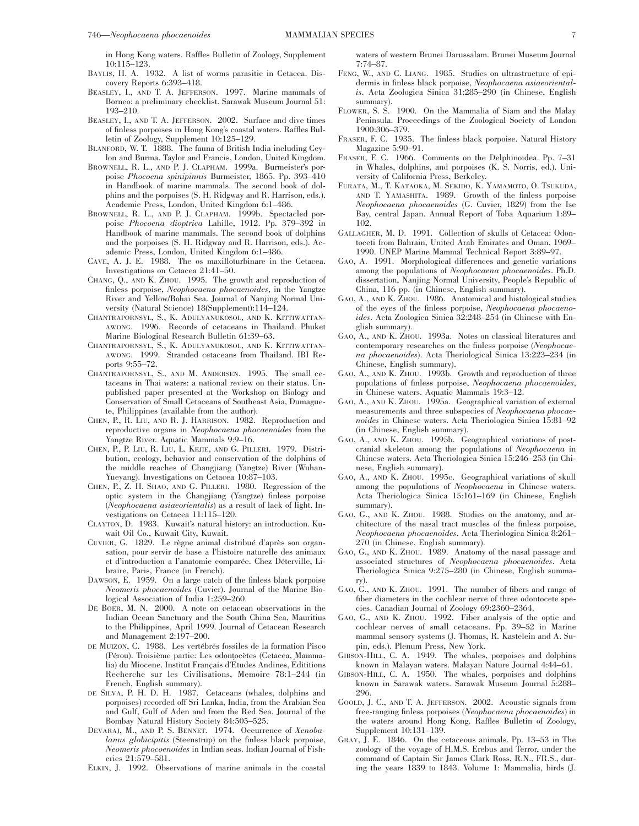in Hong Kong waters. Raffles Bulletin of Zoology, Supplement 10:115–123.

- BAYLIS, H. A. 1932. A list of worms parasitic in Cetacea. Discovery Reports 6:393–418.
- BEASLEY, I., AND T. A. JEFFERSON. 1997. Marine mammals of Borneo: a preliminary checklist. Sarawak Museum Journal 51: 193–210.
- BEASLEY, I., AND T. A. JEFFERSON. 2002. Surface and dive times of finless porpoises in Hong Kong's coastal waters. Raffles Bulletin of Zoology, Supplement 10:125–129.
- BLANFORD, W. T. 1888. The fauna of British India including Ceylon and Burma. Taylor and Francis, London, United Kingdom.
- BROWNELL, R. L., AND P. J. CLAPHAM. 1999a. Burmeister's porpoise *Phocoena spinipinnis* Burmeister, 1865. Pp. 393–410 in Handbook of marine mammals. The second book of dolphins and the porpoises (S. H. Ridgway and R. Harrison, eds.). Academic Press, London, United Kingdom 6:1–486.
- BROWNELL, R. L., AND P. J. CLAPHAM. 1999b. Spectacled porpoise *Phocoena dioptrica* Lahille, 1912. Pp. 379–392 in Handbook of marine mammals. The second book of dolphins and the porpoises (S. H. Ridgway and R. Harrison, eds.). Academic Press, London, United Kingdom 6:1–486.
- CAVE, A. J. E. 1988. The os maxilloturbinare in the Cetacea. Investigations on Cetacea 21:41–50.
- CHANG, Q., AND K. ZHOU. 1995. The growth and reproduction of finless porpoise, *Neophocaena phocaenoides*, in the Yangtze River and Yellow/Bohai Sea. Journal of Nanjing Normal University (Natural Science) 18(Supplement):114–124.
- CHANTRAPORNSYL, S., K. ADULYANUKOSOL, AND K. KITTIWATTAN-AWONG. 1996. Records of cetaceans in Thailand. Phuket Marine Biological Research Bulletin 61:39–63.
- CHANTRAPORNSYL, S., K. ADULYANUKOSOL, AND K. KITTIWATTAN-AWONG. 1999. Stranded cetaceans from Thailand. IBI Reports 9:55–72.
- CHANTRAPORNSYL, S., AND M. ANDERSEN. 1995. The small cetaceans in Thai waters: a national review on their status. Unpublished paper presented at the Workshop on Biology and Conservation of Small Cetaceans of Southeast Asia, Dumaguete, Philippines (available from the author).
- CHEN, P., R. LIU, AND R. J. HARRISON. 1982. Reproduction and reproductive organs in *Neophocaena phocaenoides* from the Yangtze River. Aquatic Mammals 9:9–16.
- CHEN, P., P. LIU, R. LIU, L. KEJIE, AND G. PILLERI. 1979. Distribution, ecology, behavior and conservation of the dolphins of the middle reaches of Changjiang (Yangtze) River (Wuhan-Yueyang). Investigations on Cetacea 10:87–103.
- CHEN, P., Z. H. SHAO, AND G. PILLERI. 1980. Regression of the optic system in the Changjiang (Yangtze) finless porpoise (*Neophocaena asiaeorientalis*) as a result of lack of light. Investigations on Cetacea 11:115–120.
- CLAYTON, D. 1983. Kuwait's natural history: an introduction. Kuwait Oil Co., Kuwait City, Kuwait.
- CUVIER, G. 1829. Le règne animal distribué d'après son organsation, pour servir de base a l'histoire naturelle des animaux et d'introduction a l'anatomie comparée. Chez Déterville, Libraire, Paris, France (in French).
- DAWSON, E. 1959. On a large catch of the finless black porpoise *Neomeris phocaenoides* (Cuvier). Journal of the Marine Biological Association of India 1:259–260.
- DE BOER, M. N. 2000. A note on cetacean observations in the Indian Ocean Sanctuary and the South China Sea, Mauritius to the Philippines, April 1999. Journal of Cetacean Research and Management 2:197–200.
- DE MUIZON, C. 1988. Les vertébrés fossiles de la formation Pisco (Pérou). Troisième partie: Les odontocètes (Cetacea, Mammalia) du Miocene. Institut Français d'Études Andines, Édititions Recherche sur les Civilisations, Memoire 78:1–244 (in French, English summary).
- DE SILVA, P. H. D. H. 1987. Cetaceans (whales, dolphins and porpoises) recorded off Sri Lanka, India, from the Arabian Sea and Gulf, Gulf of Aden and from the Red Sea. Journal of the Bombay Natural History Society 84:505–525.
- DEVARAJ, M., AND P. S. BENNET. 1974. Occurrence of *Xenobalanus globicipitis* (Steenstrup) on the finless black porpoise, *Neomeris phocoenoides* in Indian seas. Indian Journal of Fisheries 21:579–581.
- ELKIN, J. 1992. Observations of marine animals in the coastal

waters of western Brunei Darussalam. Brunei Museum Journal 7:74–87.

- FENG, W., AND C. LIANG. 1985. Studies on ultrastructure of epidermis in finless black porpoise, *Neophocaena asiaeorientalis*. Acta Zoologica Sinica 31:285–290 (in Chinese, English summary).
- FLOWER, S. S. 1900. On the Mammalia of Siam and the Malay Peninsula. Proceedings of the Zoological Society of London 1900:306–379.
- FRASER, F. C. 1935. The finless black porpoise. Natural History Magazine 5:90–91.
- FRASER, F. C. 1966. Comments on the Delphinoidea. Pp. 7–31 in Whales, dolphins, and porpoises (K. S. Norris, ed.). University of California Press, Berkeley.
- FURATA, M., T. KATAOKA, M. SEKIDO, K. YAMAMOTO, O. TSUKUDA, AND T. YAMASHITA. 1989. Growth of the finless porpoise *Neophocaena phocaenoides* (G. Cuvier, 1829) from the Ise Bay, central Japan. Annual Report of Toba Aquarium 1:89– 102.
- GALLAGHER, M. D. 1991. Collection of skulls of Cetacea: Odontoceti from Bahrain, United Arab Emirates and Oman, 1969– 1990. UNEP Marine Mammal Technical Report 3:89–97.
- GAO, A. 1991. Morphological differences and genetic variations among the populations of *Neophocaena phocaenoides*. Ph.D. dissertation, Nanjing Normal University, People's Republic of China, 116 pp. (in Chinese, English summary).
- GAO, A., AND K. ZHOU. 1986. Anatomical and histological studies of the eyes of the finless porpoise, *Neophocaena phocaenoides*. Acta Zoologica Sinica 32:248–254 (in Chinese with English summary).
- GAO, A., AND K. ZHOU. 1993a. Notes on classical literatures and contemporary researches on the finless porpoise (*Neophocaena phocaenoides*). Acta Theriological Sinica 13:223–234 (in Chinese, English summary).
- GAO, A., AND K. ZHOU. 1993b. Growth and reproduction of three populations of finless porpoise, *Neophocaena phocaenoides*, in Chinese waters. Aquatic Mammals 19:3–12.
- GAO, A., AND K. ZHOU. 1995a. Geographical variation of external measurements and three subspecies of *Neophocaena phocaenoides* in Chinese waters. Acta Theriologica Sinica 15:81–92 (in Chinese, English summary).
- GAO, A., AND K. ZHOU. 1995b. Geographical variations of postcranial skeleton among the populations of *Neophocaena* in Chinese waters. Acta Theriologica Sinica 15:246–253 (in Chinese, English summary).
- GAO, A., AND K. ZHOU. 1995c. Geographical variations of skull among the populations of *Neophocaena* in Chinese waters. Acta Theriologica Sinica 15:161–169 (in Chinese, English summary).
- GAO, G., AND K. ZHOU. 1988. Studies on the anatomy, and architecture of the nasal tract muscles of the finless porpoise, *Neophocaena phocaenoides*. Acta Theriologica Sinica 8:261– 270 (in Chinese, English summary).
- GAO, G., AND K. ZHOU. 1989. Anatomy of the nasal passage and associated structures of *Neophocaena phocaenoides*. Acta Theriologica Sinica 9:275–280 (in Chinese, English summary).
- GAO, G., AND K. ZHOU. 1991. The number of fibers and range of fiber diameters in the cochlear nerve of three odontocete species. Canadian Journal of Zoology 69:2360–2364.
- GAO, G., AND K. ZHOU. 1992. Fiber analysis of the optic and cochlear nerves of small cetaceans. Pp. 39–52 in Marine mammal sensory systems (J. Thomas, R. Kastelein and A. Supin, eds.). Plenum Press, New York.
- GIBSON-HILL, C. A. 1949. The whales, porpoises and dolphins known in Malayan waters. Malayan Nature Journal 4:44–61.
- GIBSON-HILL, C. A. 1950. The whales, porpoises and dolphins known in Sarawak waters. Sarawak Museum Journal 5:288– 296.
- GOOLD, J. C., AND T. A. JEFFERSON. 2002. Acoustic signals from free-ranging finless porpoises (*Neophocaena phocaenoides*) in the waters around Hong Kong. Raffles Bulletin of Zoology, Supplement 10:131–139.
- GRAY, J. E. 1846. On the cetaceous animals. Pp. 13–53 in The zoology of the voyage of H.M.S. Erebus and Terror, under the command of Captain Sir James Clark Ross, R.N., FR.S., during the years 1839 to 1843. Volume 1: Mammalia, birds (J.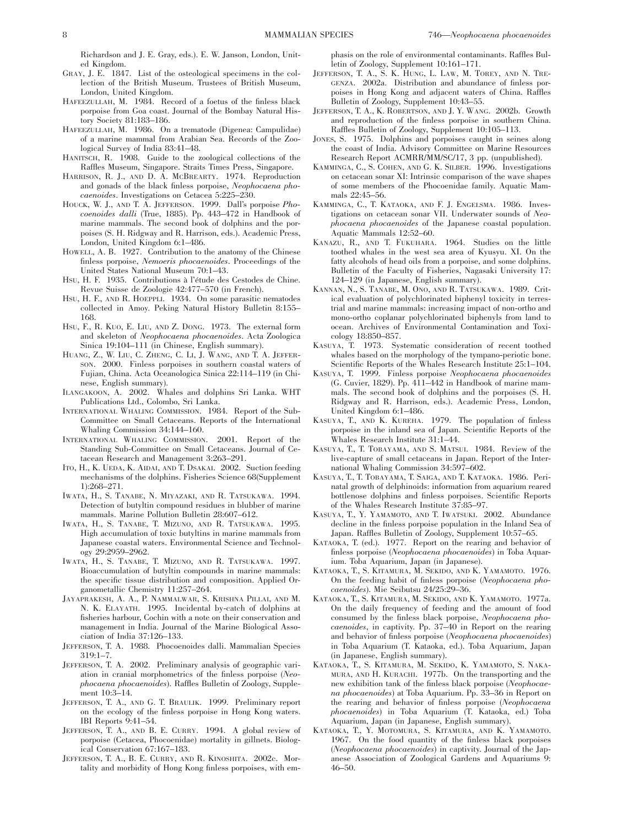Richardson and J. E. Gray, eds.). E. W. Janson, London, United Kingdom.

- GRAY, J. E. 1847. List of the osteological specimens in the collection of the British Museum. Trustees of British Museum, London, United Kingdom.
- HAFEEZULLAH, M. 1984. Record of a foetus of the finless black porpoise from Goa coast. Journal of the Bombay Natural History Society 81:183–186.
- HAFEEZULLAH, M. 1986. On a trematode (Digenea: Campulidae) of a marine mammal from Arabian Sea. Records of the Zoological Survey of India 83:41–48.
- HANITSCH, R. 1908. Guide to the zoological collections of the Raffles Museum, Singapore. Straits Times Press, Singapore.
- HARRISON, R. J., AND D. A. MCBREARTY. 1974. Reproduction and gonads of the black finless porpoise, *Neophocaena phocaenoides*. Investigations on Cetacea 5:225–230.
- HOUCK, W. J., AND T. A. JEFFERSON. 1999. Dall's porpoise *Phocoenoides dalli* (True, 1885). Pp. 443–472 in Handbook of marine mammals. The second book of dolphins and the porpoises (S. H. Ridgway and R. Harrison, eds.). Academic Press, London, United Kingdom 6:1–486.
- HOWELL, A. B. 1927. Contribution to the anatomy of the Chinese finless porpoise, *Nemoeris phocaenoides*. Proceedings of the United States National Museum 70:1–43.
- HSU, H. F. 1935. Contributions à l'étude des Cestodes de Chine. Revue Suisse de Zoologie 42:477–570 (in French).
- HSU, H. F., AND R. HOEPPLI. 1934. On some parasitic nematodes collected in Amoy. Peking Natural History Bulletin 8:155– 168.
- HSU, F., R. KUO, E. LIU, AND Z. DONG. 1973. The external form and skeleton of *Neophocaena phocaenoides*. Acta Zoologica Sinica 19:104–111 (in Chinese, English summary).
- HUANG, Z., W. LIU, C. ZHENG, C. LI, J. WANG, AND T. A. JEFFER-SON. 2000. Finless porpoises in southern coastal waters of Fujian, China. Acta Oceanologica Sinica 22:114–119 (in Chinese, English summary).
- ILANGAKOON, A. 2002. Whales and dolphins Sri Lanka. WHT Publications Ltd., Colombo, Sri Lanka.
- INTERNATIONAL WHALING COMMISSION. 1984. Report of the Sub-Committee on Small Cetaceans. Reports of the International Whaling Commission 34:144–160.
- INTERNATIONAL WHALING COMMISSION. 2001. Report of the Standing Sub-Committee on Small Cetaceans. Journal of Cetacean Research and Management 3:263–291.
- ITO, H., K. UEDA, K. AIDAI, AND T. DSAKAI. 2002. Suction feeding mechanisms of the dolphins. Fisheries Science 68(Supplement 1):268–271.
- IWATA, H., S. TANABE, N. MIYAZAKI, AND R. TATSUKAWA. 1994. Detection of butyltin compound residues in blubber of marine mammals. Marine Pollution Bulletin 28:607–612.
- IWATA, H., S. TANABE, T. MIZUNO, AND R. TATSUKAWA. 1995. High accumulation of toxic butyltins in marine mammals from Japanese coastal waters. Environmental Science and Technology 29:2959–2962.
- IWATA, H., S. TANABE, T. MIZUNO, AND R. TATSUKAWA. 1997. Bioaccumulation of butyltin compounds in marine mammals: the specific tissue distribution and composition. Applied Organometallic Chemistry 11:257–264.
- JAYAPRAKESH, A. A., P. NAMMALWAR, S. KRISHNA PILLAI, AND M. N. K. ELAYATH. 1995. Incidental by-catch of dolphins at fisheries harbour, Cochin with a note on their conservation and management in India. Journal of the Marine Biological Association of India 37:126–133.
- JEFFERSON, T. A. 1988. Phocoenoides dalli. Mammalian Species 319:1–7.
- JEFFERSON, T. A. 2002. Preliminary analysis of geographic variation in cranial morphometrics of the finless porpoise (*Neophocaena phocaenoides*). Raffles Bulletin of Zoology, Supplement 10:3–14.
- JEFFERSON, T. A., AND G. T. BRAULIK. 1999. Preliminary report on the ecology of the finless porpoise in Hong Kong waters. IBI Reports 9:41–54.
- JEFFERSON, T. A., AND B. E. CURRY. 1994. A global review of porpoise (Cetacea, Phocoenidae) mortality in gillnets. Biological Conservation 67:167–183.
- JEFFERSON, T. A., B. E. CURRY, AND R. KINOSHITA. 2002c. Mortality and morbidity of Hong Kong finless porpoises, with em-

phasis on the role of environmental contaminants. Raffles Bulletin of Zoology, Supplement 10:161–171.

- JEFFERSON, T. A., S. K. HUNG, L. LAW, M. TOREY, AND N. TRE-GENZA. 2002a. Distribution and abundance of finless porpoises in Hong Kong and adjacent waters of China. Raffles Bulletin of Zoology, Supplement 10:43–55.
- JEFFERSON, T. A., K. ROBERTSON, AND J. Y. WANG. 2002b. Growth and reproduction of the finless porpoise in southern China. Raffles Bulletin of Zoology, Supplement 10:105–113.
- JONES, S. 1975. Dolphins and porpoises caught in seines along the coast of India. Advisory Committee on Marine Resources Research Report ACMRR/MM/SC/17, 3 pp. (unpublished).
- KAMMINGA, C., S. COHEN, AND G. K. SILBER. 1996. Investigations on cetacean sonar XI: Intrinsic comparison of the wave shapes of some members of the Phocoenidae family. Aquatic Mammals 22:45–56.
- KAMMINGA, C., T. KATAOKA, AND F. J. ENGELSMA. 1986. Investigations on cetacean sonar VII. Underwater sounds of *Neophocaena phocaenoides* of the Japanese coastal population. Aquatic Mammals 12:52–60.
- KANAZU, R., AND T. FUKUHARA. 1964. Studies on the little toothed whales in the west sea area of Kyusyu. XI. On the fatty alcohols of head oils from a porpoise, and some dolphins. Bulletin of the Faculty of Fisheries, Nagasaki University 17: 124–129 (in Japanese, English summary).
- KANNAN, N., S. TANABE, M. ONO, AND R. TATSUKAWA. 1989. Critical evaluation of polychlorinated biphenyl toxicity in terrestrial and marine mammals: increasing impact of non-ortho and mono-ortho coplanar polychlorinated biphenyls from land to ocean. Archives of Environmental Contamination and Toxicology 18:850–857.
- KASUYA, T. 1973. Systematic consideration of recent toothed whales based on the morphology of the tympano-periotic bone. Scientific Reports of the Whales Research Institute 25:1–104.
- KASUYA, T. 1999. Finless porpoise *Neophocaena phocaenoides* (G. Cuvier, 1829). Pp. 411–442 in Handbook of marine mammals. The second book of dolphins and the porpoises (S. H. Ridgway and R. Harrison, eds.). Academic Press, London, United Kingdom 6:1–486.
- KASUYA, T., AND K. KUREHA. 1979. The population of finless porpoise in the inland sea of Japan. Scientific Reports of the Whales Research Institute 31:1–44.
- KASUYA, T., T. TOBAYAMA, AND S. MATSUI. 1984. Review of the live-capture of small cetaceans in Japan. Report of the International Whaling Commission 34:597–602.
- KASUYA, T., T. TOBAYAMA, T. SAIGA, AND T. KATAOKA. 1986. Perinatal growth of delphinoids: information from aquarium reared bottlenose dolphins and finless porpoises. Scientific Reports of the Whales Research Institute 37:85–97.
- KASUYA, T., Y. YAMAMOTO, AND T. IWATSUKI. 2002. Abundance decline in the finless porpoise population in the Inland Sea of Japan. Raffles Bulletin of Zoology, Supplement 10:57–65.
- KATAOKA, T. (ed.). 1977. Report on the rearing and behavior of finless porpoise (*Neophocaena phocaenoides*) in Toba Aquarium. Toba Aquarium, Japan (in Japanese).
- KATAOKA, T., S. KITAMURA, M. SEKIDO, AND K. YAMAMOTO. 1976. On the feeding habit of finless porpoise (*Neophocaena phocaenoides*). Mie Seibutsu 24/25:29–36.
- KATAOKA, T., S. KITAMURA, M. SEKIDO, AND K. YAMAMOTO. 1977a. On the daily frequency of feeding and the amount of food consumed by the finless black porpoise, *Neophocaena phocaenoides*, in captivity. Pp. 37–40 in Report on the rearing and behavior of finless porpoise (*Neophocaena phocaenoides*) in Toba Aquarium (T. Kataoka, ed.). Toba Aquarium, Japan (in Japanese, English summary).
- KATAOKA, T., S. KITAMURA, M. SEKIDO, K. YAMAMOTO, S. NAKA-MURA, AND H. KURACHI. 1977b. On the transporting and the new exhibition tank of the finless black porpoise (*Neophocaena phocaenoides*) at Toba Aquarium. Pp. 33–36 in Report on the rearing and behavior of finless porpoise (*Neophocaena phocaenoides*) in Toba Aquarium (T. Kataoka, ed.) Toba Aquarium, Japan (in Japanese, English summary).
- KATAOKA, T., Y. MOTOMURA, S. KITAMURA, AND K. YAMAMOTO. 1967. On the food quantity of the finless black porpoises (*Neophocaena phocaenoides*) in captivity. Journal of the Japanese Association of Zoological Gardens and Aquariums 9: 46–50.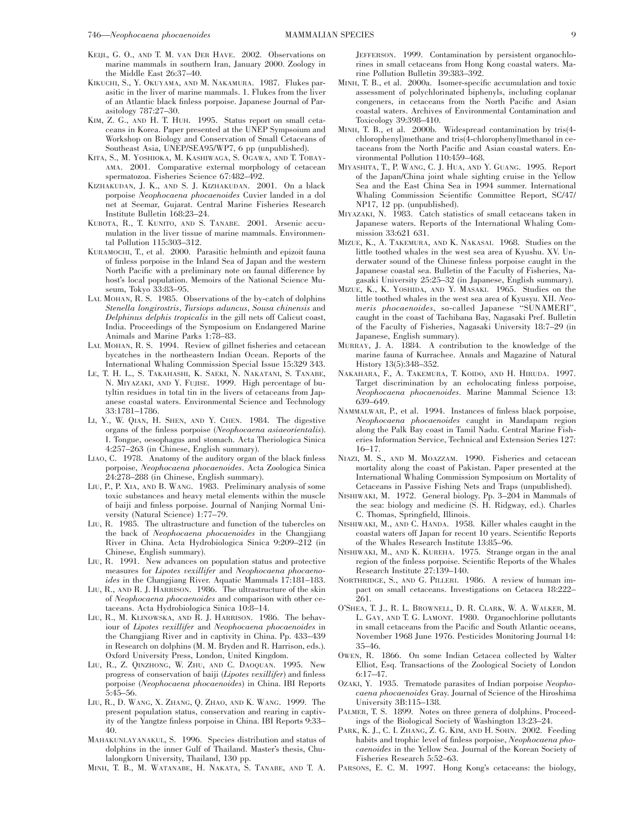- KEIJL, G. O., AND T. M. VAN DER HAVE. 2002. Observations on marine mammals in southern Iran, January 2000. Zoology in the Middle East 26:37–40.
- KIKUCHI, S., Y. OKUYAMA, AND M. NAKAMURA. 1987. Flukes parasitic in the liver of marine mammals. 1. Flukes from the liver of an Atlantic black finless porpoise. Japanese Journal of Parasitology 787:27–30.
- KIM, Z. G., AND H. T. HUH. 1995. Status report on small cetaceans in Korea. Paper presented at the UNEP Sympsoium and Workshop on Biology and Conservation of Small Cetaceans of Southeast Asia, UNEP/SEA95/WP7, 6 pp (unpublished).
- KITA, S., M. YOSHIOKA, M. KASHIWAGA, S. OGAWA, AND T. TOBAY-AMA. 2001. Comparative external morphology of cetacean spermatozoa. Fisheries Science 67:482–492.
- KIZHAKUDAN, J. K., AND S. J. KIZHAKUDAN. 2001. On a black porpoise *Neophocaena phocaenoides* Cuvier landed in a dol net at Seemar, Gujarat. Central Marine Fisheries Research Institute Bulletin 168:23–24.
- KUBOTA, R., T. KUNITO, AND S. TANABE. 2001. Arsenic accumulation in the liver tissue of marine mammals. Environmental Pollution 115:303–312.
- KURAMOCHI, T., et al. 2000. Parasitic helminth and epizoit fauna of finless porpoise in the Inland Sea of Japan and the western North Pacific with a preliminary note on faunal difference by host's local population. Memoirs of the National Science Museum, Tokyo 33:83–95.
- LAL MOHAN, R. S. 1985. Observations of the by-catch of dolphins *Stenella longirostris*, *Tursiops aduncus*, *Sousa chinensis* and *Delphinus delphis tropicalis* in the gill nets off Calicut coast, India. Proceedings of the Symposium on Endangered Marine Animals and Marine Parks 1:78–83.
- LAL MOHAN, R. S. 1994. Review of gillnet fisheries and cetacean bycatches in the northeastern Indian Ocean. Reports of the International Whaling Commission Special Issue 15:329 343.
- LE, T. H. L., S. TAKAHASHI, K. SAEKI, N. NAKATANI, S. TANABE, N. MIYAZAKI, AND Y. FUJISE. 1999. High percentage of butyltin residues in total tin in the livers of cetaceans from Japanese coastal waters. Environmental Science and Technology 33:1781–1786.
- LI, Y., W. QIAN, H. SHEN, AND Y. CHEN. 1984. The digestive organs of the finless porpoise (*Neophocaena asiaeorientalis*). I. Tongue, oesophagus and stomach. Acta Theriologica Sinica 4:257–263 (in Chinese, English summary).
- LIAO, C. 1978. Anatomy of the auditory organ of the black finless porpoise, *Neophocaena phocaenoides*. Acta Zoologica Sinica 24:278–288 (in Chinese, English summary).
- LIU, P., P. XIA, AND B. WANG. 1983. Preliminary analysis of some toxic substances and heavy metal elements within the muscle of baiji and finless porpoise. Journal of Nanjing Normal University (Natural Science) 1:77–79.
- LIU, R. 1985. The ultrastructure and function of the tubercles on the back of *Neophocaena phocaenoides* in the Changjiang River in China. Acta Hydrobiologica Sinica 9:209–212 (in Chinese, English summary).
- LIU, R. 1991. New advances on population status and protective measures for *Lipotes vexillifer* and *Neophocaena phocaenoides* in the Changjiang River. Aquatic Mammals 17:181–183.
- LIU, R., AND R. J. HARRISON. 1986. The ultrastructure of the skin of *Neophocaena phocaenoides* and comparison with other cetaceans. Acta Hydrobiologica Sinica 10:8–14.
- LIU, R., M. KLINOWSKA, AND R. J. HARRISON. 1986. The behaviour of *Lipotes vexillifer* and *Neophocaena phocaenoides* in the Changjiang River and in captivity in China. Pp. 433–439 in Research on dolphins (M. M. Bryden and R. Harrison, eds.). Oxford University Press, London, United Kingdom.
- LIU, R., Z. QINZHONG, W. ZHU, AND C. DAOQUAN. 1995. New progress of conservation of baiji (*Lipotes vexillifer*) and finless porpoise (*Neophocaena phocaenoides*) in China. IBI Reports 5:45–56.
- LIU, R., D. WANG, X. ZHANG, Q. ZHAO, AND K. WANG. 1999. The present population status, conservation and rearing in captivity of the Yangtze finless porpoise in China. IBI Reports 9:33– 40.
- MAHAKUNLAYANAKUL, S. 1996. Species distribution and status of dolphins in the inner Gulf of Thailand. Master's thesis, Chulalongkorn University, Thailand, 130 pp.
- MINH, T. B., M. WATANABE, H. NAKATA, S. TANABE, AND T. A.

JEFFERSON. 1999. Contamination by persistent organochlorines in small cetaceans from Hong Kong coastal waters. Marine Pollution Bulletin 39:383–392.

- MINH, T. B., et al. 2000a. Isomer-specific accumulation and toxic assessment of polychlorinated biphenyls, including coplanar congeners, in cetaceans from the North Pacific and Asian coastal waters. Archives of Environmental Contamination and Toxicology 39:398–410.
- MINH, T. B., et al. 2000b. Widespread contamination by tris(4 chlorophenyl)methane and tris(4-chlorophenyl)methanol in cetaceans from the North Pacific and Asian coastal waters. Environmental Pollution 110:459–468.
- MIYASHITA, T., P. WANG, C. J. HUA, AND Y. GUANG. 1995. Report of the Japan/China joint whale sighting cruise in the Yellow Sea and the East China Sea in 1994 summer. International Whaling Commission Scientific Committee Report, SC/47/ NP17, 12 pp. (unpublished).
- MIYAZAKI, N. 1983. Catch statistics of small cetaceans taken in Japanese waters. Reports of the International Whaling Commission 33:621 631.
- MIZUE, K., A. TAKEMURA, AND K. NAKASAI. 1968. Studies on the little toothed whales in the west sea area of Kyushu. XV. Underwater sound of the Chinese finless porpoise caught in the Japanese coastal sea. Bulletin of the Faculty of Fisheries, Nagasaki University 25:25–32 (in Japanese, English summary).
- MIZUE, K., K. YOSHIDA, AND Y. MASAKI. 1965. Studies on the little toothed whales in the west sea area of Kyusyu. XII. *Neomeris phocaenoides*, so-called Japanese ''SUNAMERI'', caught in the coast of Tachibana Bay, Nagasaki Pref. Bulletin of the Faculty of Fisheries, Nagasaki University 18:7–29 (in Japanese, English summary).
- MURRAY, J. A. 1884. A contribution to the knowledge of the marine fauna of Kurrachee. Annals and Magazine of Natural History 13(5):348–352.
- NAKAHARA, F., A. TAKEMURA, T. KOIDO, AND H. HIRUDA. 1997. Target discrimination by an echolocating finless porpoise, *Neophocaena phocaenoides*. Marine Mammal Science 13: 639–649.
- NAMMALWAR, P., et al. 1994. Instances of finless black porpoise, *Neophocaena phocaenoides* caught in Mandapam region along the Palk Bay coast in Tamil Nadu. Central Marine Fisheries Information Service, Technical and Extension Series 127: 16–17.
- NIAZI, M. S., AND M. MOAZZAM. 1990. Fisheries and cetacean mortality along the coast of Pakistan. Paper presented at the International Whaling Commission Symposium on Mortality of Cetaceans in Passive Fishing Nets and Traps (unpublished).
- NISHIWAKI, M. 1972. General biology. Pp. 3–204 in Mammals of the sea: biology and medicine (S. H. Ridgway, ed.). Charles C. Thomas, Springfield, Illinois.
- NISHIWAKI, M., AND C. HANDA. 1958. Killer whales caught in the coastal waters off Japan for recent 10 years. Scientific Reports of the Whales Research Institute 13:85–96.
- NISHIWAKI, M., AND K. KUREHA. 1975. Strange organ in the anal region of the finless porpoise. Scientific Reports of the Whales Research Institute 27:139–140.
- NORTHRIDGE, S., AND G. PILLERI. 1986. A review of human impact on small cetaceans. Investigations on Cetacea 18:222– 261.
- O'SHEA, T. J., R. L. BROWNELL, D. R. CLARK, W. A. WALKER, M. L. GAY, AND T. G. LAMONT. 1980. Organochlorine pollutants in small cetaceans from the Pacific and South Atlantic oceans, November 1968 June 1976. Pesticides Monitoring Journal 14: 35–46.
- OWEN, R. 1866. On some Indian Cetacea collected by Walter Elliot, Esq. Transactions of the Zoological Society of London 6:17–47.
- OZAKI, Y. 1935. Trematode parasites of Indian porpoise *Neophocaena phocaenoides* Gray. Journal of Science of the Hiroshima University 3B:115–138.
- PALMER, T. S. 1899. Notes on three genera of dolphins. Proceedings of the Biological Society of Washington 13:23–24.
- PARK, K. J., C. I. ZHANG, Z. G. KIM, AND H. SOHN. 2002. Feeding habits and trophic level of finless porpoise, *Neophocaena phocaenoides* in the Yellow Sea. Journal of the Korean Society of Fisheries Research 5:52–63.
- PARSONS, E. C. M. 1997. Hong Kong's cetaceans: the biology,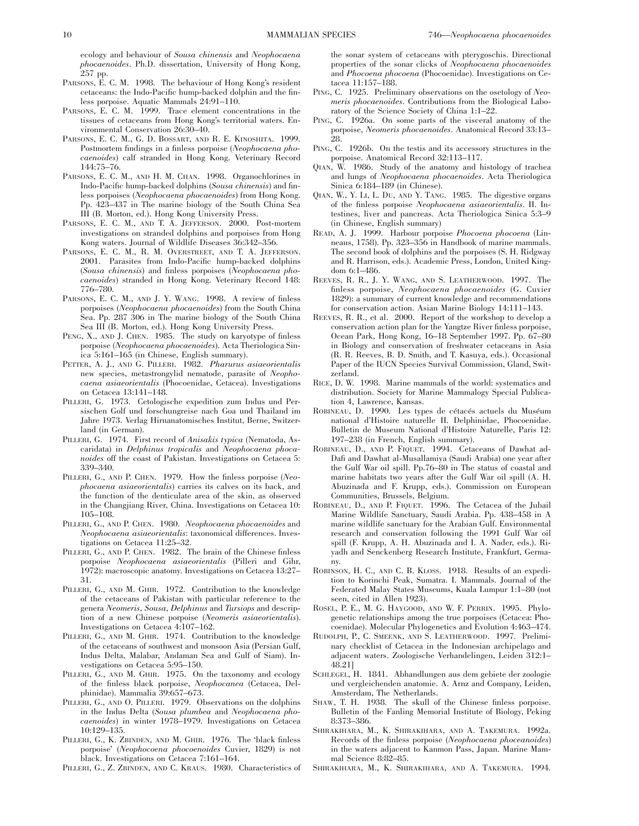ecology and behaviour of *Sousa chinensis* and *Neophocaena phocaenoides*. Ph.D. dissertation, University of Hong Kong, 257 pp.

- PARSONS, E. C. M. 1998. The behaviour of Hong Kong's resident cetaceans: the Indo-Pacific hump-backed dolphin and the finless porpoise. Aquatic Mammals 24:91–110.
- PARSONS, E. C. M. 1999. Trace element concentrations in the tissues of cetaceans from Hong Kong's territorial waters. Environmental Conservation 26:30–40.
- PARSONS, E. C. M., G. D. BOSSART, AND R. E. KINOSHITA. 1999. Postmortem findings in a finless porpoise (*Neophocaena phocaenoides*) calf stranded in Hong Kong. Veterinary Record 144:75–76.
- PARSONS, E. C. M., AND H. M. CHAN. 1998. Organochlorines in Indo-Pacific hump-backed dolphins (*Sousa chinensis*) and finless porpoises (*Neophocaena phocaenoides*) from Hong Kong. Pp. 423–437 in The marine biology of the South China Sea III (B. Morton, ed.). Hong Kong University Press.
- PARSONS, E. C. M., AND T. A. JEFFERSON. 2000. Post-mortem investigations on stranded dolphins and porpoises from Hong Kong waters. Journal of Wildlife Diseases 36:342–356.
- PARSONS, E. C. M., R. M. OVERSTREET, AND T. A. JEFFERSON. 2001. Parasites from Indo-Pacific hump-backed dolphins (*Sousa chinensis*) and finless porpoises (*Neophocaena phocaenoides*) stranded in Hong Kong. Veterinary Record 148: 776–780.
- PARSONS, E. C. M., AND J. Y. WANG. 1998. A review of finless porpoises (*Neophocaena phocaenoides*) from the South China Sea. Pp. 287 306 in The marine biology of the South China Sea III (B. Morton, ed.). Hong Kong University Press.
- PENG, X., AND J. CHEN. 1985. The study on karyotype of finless porpoise (*Neophocaena phocaenoides*). Acta Theriologica Sinica 5:161–165 (in Chinese, English summary).
- PETTER, A. J., AND G. PILLERI. 1982. *Pharurus asiaeorientalis* new species, metastrongylid nematode, parasite of *Neophocaena asiaeorientalis* (Phocoenidae, Cetacea). Investigations on Cetacea 13:141–148.
- PILLERI, G. 1973. Cetologische expedition zum Indus und Persischen Golf und forschungreise nach Goa und Thailand im Jahre 1973. Verlag Hirnanatomisches Institut, Berne, Switzerland (in German).
- PILLERI, G. 1974. First record of *Anisakis typica* (Nematoda, Ascaridata) in *Delphinus tropicalis* and *Neophocaena phocanoides* off the coast of Pakistan. Investigations on Cetacea 5: 339–340.
- PILLERI, G., AND P. CHEN. 1979. How the finless porpoise (*Neophocaena asiaeorientalis*) carries its calves on its back, and the function of the denticulate area of the skin, as observed in the Changjiang River, China. Investigations on Cetacea 10: 105–108.
- PILLERI, G., AND P. CHEN. 1980. *Neophocaena phocaenoides* and *Neophocaena asiaeorientalis*: taxonomical differences. Investigations on Cetacea 11:25–32.
- PILLERI, G., AND P. CHEN. 1982. The brain of the Chinese finless porpoise *Neophocaena asiaeorientalis* (Pilleri and Gihr, 1972): macroscopic anatomy. Investigations on Cetacea 13:27– 31.
- PILLERI, G., AND M. GHIR. 1972. Contribution to the knowledge of the cetaceans of Pakistan with particular reference to the genera *Neomeris*, *Sousa*, *Delphinus* and *Tursiops* and description of a new Chinese porpoise (*Neomeris asiaeorientalis*). Investigations on Cetacea 4:107–162.
- PILLERI, G., AND M. GHIR. 1974. Contribution to the knowledge of the cetaceans of southwest and monsoon Asia (Persian Gulf, Indus Delta, Malabar, Andaman Sea and Gulf of Siam). Investigations on Cetacea 5:95–150.
- PILLERI, G., AND M. GHIR. 1975. On the taxonomy and ecology of the finless black porpoise, *Neophocanea* (Cetacea, Delphinidae). Mammalia 39:657–673.
- PILLERI, G., AND O. PILLERI. 1979. Observations on the dolphins in the Indus Delta (*Sousa plumbea* and *Neophocaena phocaenoides*) in winter 1978–1979. Investigations on Cetacea 10:129–135.
- PILLERI, G., K. ZBINDEN, AND M. GHIR. 1976. The 'black finless porpoise' (*Neophocoena phocoenoides* Cuvier, 1829) is not black. Investigations on Cetacea 7:161–164.
- PILLERI, G., Z. ZBINDEN, AND C. KRAUS. 1980. Characteristics of

the sonar system of cetaceans with pterygoschis. Directional properties of the sonar clicks of *Neophocaena phocaenoides* and *Phocoena phocoena* (Phocoenidae). Investigations on Cetacea 11:157–188.

- PING, C. 1925. Preliminary observations on the osetology of *Neomeris phocaenoides*. Contributions from the Biological Laboratory of the Science Society of China 1:1–22.
- PING, C. 1926a. On some parts of the visceral anatomy of the porpoise, *Neomeris phocaenoides*. Anatomical Record 33:13– 28.
- PING, C. 1926b. On the testis and its accessory structures in the porpoise. Anatomical Record 32:113–117.
- QIAN, W. 1986. Study of the anatomy and histology of trachea and lungs of *Neophocaena phocaenoides*. Acta Theriologica Sinica 6:184–189 (in Chinese).
- QIAN, W., Y. LI, L. DU, AND Y. TANG. 1985. The digestive organs of the finless porpoise *Neophocaena asiaeorientalis*. II. Intestines, liver and pancreas. Acta Theriologica Sinica 5:3–9 (in Chinese, English summary)
- READ, A. J. 1999. Harbour porpoise *Phocoena phocoena* (Linneaus, 1758). Pp. 323–356 in Handbook of marine mammals. The second book of dolphins and the porpoises (S. H. Ridgway and R. Harrison, eds.). Academic Press, London, United Kingdom 6:1–486.
- REEVES, R. R., J. Y. WANG, AND S. LEATHERWOOD. 1997. The finless porpoise, *Neophocaena phocaenoides* (G. Cuvier 1829): a summary of current knowledge and recommendations for conservation action. Asian Marine Biology 14:111–143.
- REEVES, R. R., et al. 2000. Report of the workshop to develop a conservation action plan for the Yangtze River finless porpoise, Ocean Park, Hong Kong, 16–18 September 1997. Pp. 67–80 in Biology and conservation of freshwater cetaceans in Asia (R. R. Reeves, B. D. Smith, and T. Kasuya, eds.). Occasional Paper of the IUCN Species Survival Commission, Gland, Switzerland.
- RICE, D. W. 1998. Marine mammals of the world: systematics and distribution. Society for Marine Mammalogy Special Publication 4, Lawrence, Kansas.
- ROBINEAU, D. 1990. Les types de cétacés actuels du Muséum national d'Histoire naturelle II. Delphinidae, Phocoenidae. Bulletin de Museum National d'Histoire Naturelle, Paris 12: 197–238 (in French, English summary).
- ROBINEAU, D., AND P. FIQUET. 1994. Cetaceans of Dawhat ad-Dafi and Dawhat al-Musallamiya (Saudi Arabia) one year after the Gulf War oil spill. Pp.76–80 in The status of coastal and marine habitats two years after the Gulf War oil spill (A. H. Abuzinada and F. Krupp, eds.). Commission on European Communities, Brussels, Belgium.
- ROBINEAU, D., AND P. FIQUET. 1996. The Cetacea of the Jubail Marine Wildlife Sanctuary, Saudi Arabia. Pp. 438–458 in A marine wildlife sanctuary for the Arabian Gulf. Environmental research and conservation following the 1991 Gulf War oil spill (F. Krupp, A. H. Abuzinada and I. A. Nader, eds.). Riyadh and Senckenberg Research Institute, Frankfurt, Germany.
- ROBINSON, H. C., AND C. B. KLOSS. 1918. Results of an expedition to Korinchi Peak, Sumatra. I. Mammals. Journal of the Federated Malay States Museums, Kuala Lumpur 1:1–80 (not seen, cited in Allen 1923).
- ROSEL, P. E., M. G. HAYGOOD, AND W. F. PERRIN. 1995. Phylogenetic relationships among the true porpoises (Cetacea: Phocoenidae). Molecular Phylogenetics and Evolution 4:463–474.
- RUDOLPH, P., C. SMEENK, AND S. LEATHERWOOD. 1997. Preliminary checklist of Cetacea in the Indonesian archipelago and adjacent waters. Zoologische Verhandelingen, Leiden 312:1– 48.21]
- SCHLEGEL, H. 1841. Abhandlungen aus dem gebiete der zoologie und vergleichenden anatomie. A. Arnz and Company, Leiden, Amsterdam, The Netherlands.
- SHAW, T. H. 1938. The skull of the Chinese finless porpoise. Bulletin of the Fanling Memorial Institute of Biology, Peking 8:373–386.
- SHIRAKIHARA, M., K. SHIRAKIHARA, AND A. TAKEMURA. 1992a. Records of the finless porpoise (*Neophocaena phoceanoides*) in the waters adjacent to Kanmon Pass, Japan. Marine Mammal Science 8:82–85.
- SHIRAKIHARA, M., K. SHIRAKIHARA, AND A. TAKEMURA. 1994.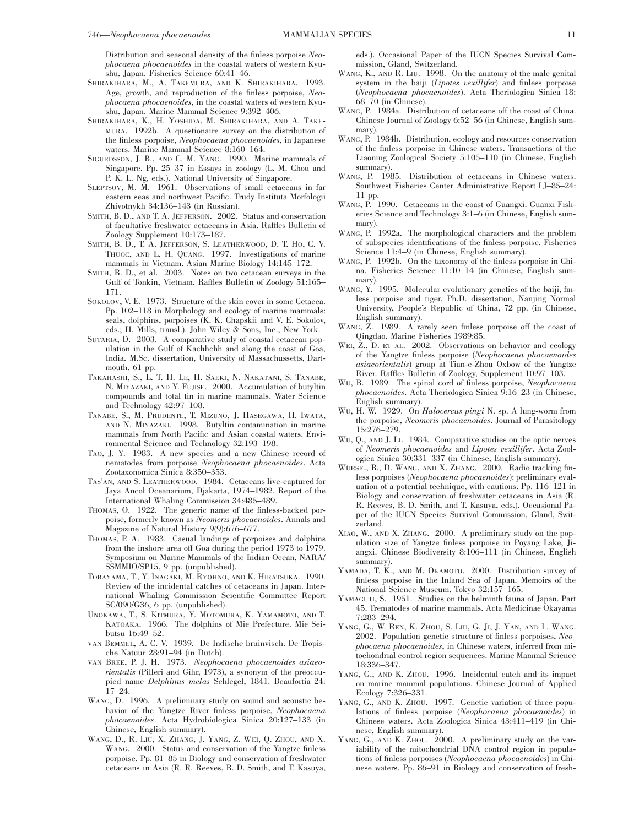Distribution and seasonal density of the finless porpoise *Neophocaena phocaenoides* in the coastal waters of western Kyushu, Japan. Fisheries Science 60:41–46.

- SHIRAKIHARA, M., A. TAKEMURA, AND K. SHIRAKIHARA. 1993. Age, growth, and reproduction of the finless porpoise, *Neophocaena phocaenoides*, in the coastal waters of western Kyushu, Japan. Marine Mammal Science 9:392–406.
- SHIRAKIHARA, K., H. YOSHIDA, M. SHIRAKIHARA, AND A. TAKE-MURA. 1992b. A questionaire survey on the distribution of the finless porpoise, *Neophocaena phocaenoides*, in Japanese waters. Marine Mammal Science 8:160–164.
- SIGURDSSON, J. B., AND C. M. YANG. 1990. Marine mammals of Singapore. Pp. 25–37 in Essays in zoology (L. M. Chou and P. K. L. Ng, eds.). National University of Singapore.
- SLEPTSOV, M. M. 1961. Observations of small cetaceans in far eastern seas and northwest Pacific. Trudy Instituta Morfologii Zhivotnykh 34:136–143 (in Russian).
- SMITH, B. D., AND T. A. JEFFERSON. 2002. Status and conservation of facultative freshwater cetaceans in Asia. Raffles Bulletin of Zoology Supplement 10:173–187.
- SMITH, B. D., T. A. JEFFERSON, S. LEATHERWOOD, D. T. HO, C. V. THUOC, AND L. H. QUANG. 1997. Investigations of marine mammals in Vietnam. Asian Marine Biology 14:145–172.
- SMITH, B. D., et al. 2003. Notes on two cetacean surveys in the Gulf of Tonkin, Vietnam. Raffles Bulletin of Zoology 51:165– 171.
- SOKOLOV, V. E. 1973. Structure of the skin cover in some Cetacea. Pp. 102–118 in Morphology and ecology of marine mammals: seals, dolphins, porpoises (K. K. Chapskii and V. E. Sokolov, eds.; H. Mills, transl.). John Wiley & Sons, Inc., New York.
- SUTARIA, D. 2003. A comparative study of coastal cetacean population in the Gulf of Kachhchh and along the coast of Goa, India. M.Sc. dissertation, University of Massachussetts, Dartmouth, 61 pp.
- TAKAHASHI, S., L. T. H. LE, H. SAEKI, N. NAKATANI, S. TANABE, N. MIYAZAKI, AND Y. FUJISE. 2000. Accumulation of butyltin compounds and total tin in marine mammals. Water Science and Technology 42:97–108.
- TANABE, S., M. PRUDENTE, T. MIZUNO, J. HASEGAWA, H. IWATA, AND N. MIYAZAKI. 1998. Butyltin contamination in marine mammals from North Pacific and Asian coastal waters. Environmental Science and Technology 32:193–198.
- TAO, J. Y. 1983. A new species and a new Chinese record of nematodes from porpoise *Neophocaena phocaenoides*. Acta Zootaxonomica Sinica 8:350–353.
- TAS'AN, AND S. LEATHERWOOD. 1984. Cetaceans live-captured for Jaya Ancol Oceanarium, Djakarta, 1974–1982. Report of the International Whaling Commission 34:485–489.
- THOMAS, O. 1922. The generic name of the finless-backed porpoise, formerly known as *Neomeris phocaenoides*. Annals and Magazine of Natural History 9(9):676–677.
- THOMAS, P. A. 1983. Casual landings of porpoises and dolphins from the inshore area off Goa during the period 1973 to 1979. Symposium on Marine Mammals of the Indian Ocean, NARA/ SSMMIO/SP15, 9 pp. (unpublished).
- TOBAYAMA, T., Y. INAGAKI, M. RYOHNO, AND K. HIRATSUKA. 1990. Review of the incidental catches of cetaceans in Japan. International Whaling Commission Scientific Committee Report SC/090/G36, 6 pp. (unpublished).
- UNOKAWA, T., S. KITMURA, Y. MOTOMURA, K. YAMAMOTO, AND T. KATOAKA. 1966. The dolphins of Mie Prefecture. Mie Seibutsu 16:49–52.
- VAN BEMMEL, A. C. V. 1939. De Indische bruinvisch. De Tropische Natuur 28:91–94 (in Dutch).
- VAN BREE, P. J. H. 1973. *Neophocaena phocaenoides asiaeorientalis* (Pilleri and Gihr, 1973), a synonym of the preoccupied name *Delphinus melas* Schlegel, 1841. Beaufortia 24: 17–24.
- WANG, D. 1996. A preliminary study on sound and acoustic behavior of the Yangtze River finless porpoise, *Neophocaena phocaenoides*. Acta Hydrobiologica Sinica 20:127–133 (in Chinese, English summary).
- WANG, D., R. LIU, X. ZHANG, J. YANG, Z. WEI, Q. ZHOU, AND X. WANG. 2000. Status and conservation of the Yangtze finless porpoise. Pp. 81–85 in Biology and conservation of freshwater cetaceans in Asia (R. R. Reeves, B. D. Smith, and T. Kasuya,

eds.). Occasional Paper of the IUCN Species Survival Commission, Gland, Switzerland.

- WANG, K., AND R. LIU. 1998. On the anatomy of the male genital system in the baiji (*Lipotes vexillifer*) and finless porpoise (*Neophocaena phocaenoides*). Acta Theriologica Sinica 18: 68–70 (in Chinese).
- WANG, P. 1984a. Distribution of cetaceans off the coast of China. Chinese Journal of Zoology 6:52–56 (in Chinese, English summary).
- WANG, P. 1984b. Distribution, ecology and resources conservation of the finless porpoise in Chinese waters. Transactions of the Liaoning Zoological Society 5:105–110 (in Chinese, English summary).
- WANG, P. 1985. Distribution of cetaceans in Chinese waters. Southwest Fisheries Center Administrative Report LJ–85–24: 11 pp.
- WANG, P. 1990. Cetaceans in the coast of Guangxi. Guanxi Fisheries Science and Technology 3:1–6 (in Chinese, English summary).
- WANG, P. 1992a. The morphological characters and the problem of subspecies identifications of the finless porpoise. Fisheries Science 11:4–9 (in Chinese, English summary).
- WANG, P. 1992b. On the taxonomy of the finless porpoise in China. Fisheries Science 11:10–14 (in Chinese, English summary).
- WANG, Y. 1995. Molecular evolutionary genetics of the baiji, finless porpoise and tiger. Ph.D. dissertation, Nanjing Normal University, People's Republic of China, 72 pp. (in Chinese, English summary).
- WANG, Z. 1989. A rarely seen finless porpoise off the coast of Qingdao. Marine Fisheries 1989:85.
- WEI, Z., D. ET AL. 2002. Observations on behavior and ecology of the Yangtze finless porpoise (*Neophocaena phocaenoides asiaeorientalis*) group at Tian-e-Zhou Oxbow of the Yangtze River. Raffles Bulletin of Zoology, Supplement 10:97–103.
- WU, B. 1989. The spinal cord of finless porpoise, *Neophocaena phocaenoides*. Acta Theriologica Sinica 9:16–23 (in Chinese, English summary).
- WU, H. W. 1929. On *Halocercus pingi* N. sp. A lung-worm from the porpoise, *Neomeris phocaenoides*. Journal of Parasitology 15:276–279.
- WU, Q., AND J. LI. 1984. Comparative studies on the optic nerves of *Neomeris phocaenoides* and *Lipotes vexillifer*. Acta Zoologica Sinica 30:331–337 (in Chinese, English summary).
- WURSIG, B., D. WANG, AND X. ZHANG. 2000. Radio tracking finless porpoises (*Neophocaena phocaenoides*): preliminary evaluation of a potential technique, with cautions. Pp. 116–121 in Biology and conservation of freshwater cetaceans in Asia (R. R. Reeves, B. D. Smith, and T. Kasuya, eds.). Occasional Paper of the IUCN Species Survival Commission, Gland, Switzerland.
- XIAO, W., AND X. ZHANG. 2000. A preliminary study on the population size of Yangtze finless porpoise in Poyang Lake, Jiangxi. Chinese Biodiversity 8:106–111 (in Chinese, English summary).
- YAMADA, T. K., AND M. OKAMOTO. 2000. Distribution survey of finless porpoise in the Inland Sea of Japan. Memoirs of the National Science Museum, Tokyo 32:157–165.
- YAMAGUTI, S. 1951. Studies on the helminth fauna of Japan. Part 45. Trematodes of marine mammals. Acta Medicinae Okayama 7:283–294.
- YANG, G., W. REN, K. ZHOU, S. LIU, G. JI, J. YAN, AND L. WANG. 2002. Population genetic structure of finless porpoises, *Neophocaena phocaenoides*, in Chinese waters, inferred from mitochondrial control region sequences. Marine Mammal Science 18:336–347.
- YANG, G., AND K. ZHOU. 1996. Incidental catch and its impact on marine mammal populations. Chinese Journal of Applied Ecology 7:326–331.
- YANG, G., AND K. ZHOU. 1997. Genetic variation of three populations of finless porpoise (*Neophocaena phocaenoides*) in Chinese waters. Acta Zoologica Sinica 43:411–419 (in Chinese, English summary).
- YANG, G., AND K. ZHOU. 2000. A preliminary study on the variability of the mitochondrial DNA control region in populations of finless porpoises (*Neophocaena phocaenoides*) in Chinese waters. Pp. 86–91 in Biology and conservation of fresh-